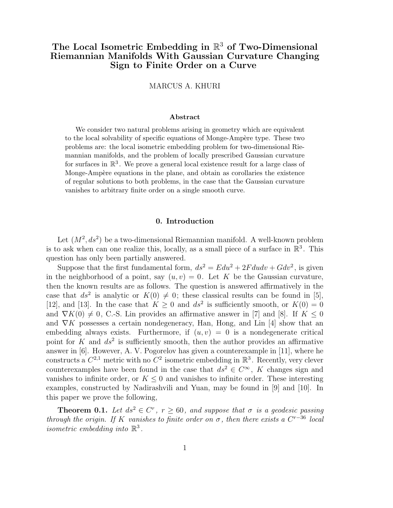# The Local Isometric Embedding in  $\mathbb{R}^3$  of Two-Dimensional Riemannian Manifolds With Gaussian Curvature Changing Sign to Finite Order on a Curve

# MARCUS A. KHURI

#### Abstract

We consider two natural problems arising in geometry which are equivalent to the local solvability of specific equations of Monge-Ampère type. These two problems are: the local isometric embedding problem for two-dimensional Riemannian manifolds, and the problem of locally prescribed Gaussian curvature for surfaces in  $\mathbb{R}^3$ . We prove a general local existence result for a large class of Monge-Ampère equations in the plane, and obtain as corollaries the existence of regular solutions to both problems, in the case that the Gaussian curvature vanishes to arbitrary finite order on a single smooth curve.

#### 0. Introduction

Let  $(M^2, ds^2)$  be a two-dimensional Riemannian manifold. A well-known problem is to ask when can one realize this, locally, as a small piece of a surface in  $\mathbb{R}^3$ . This question has only been partially answered.

Suppose that the first fundamental form,  $ds^2 = E du^2 + 2F du dv + G dv^2$ , is given in the neighborhood of a point, say  $(u, v) = 0$ . Let K be the Gaussian curvature, then the known results are as follows. The question is answered affirmatively in the case that  $ds^2$  is analytic or  $K(0) \neq 0$ ; these classical results can be found in [5], [12], and [13]. In the case that  $K \geq 0$  and  $ds^2$  is sufficiently smooth, or  $K(0) = 0$ and  $\nabla K(0) \neq 0$ , C.-S. Lin provides an affirmative answer in [7] and [8]. If  $K \leq 0$ and  $\nabla K$  possesses a certain nondegeneracy, Han, Hong, and Lin [4] show that an embedding always exists. Furthermore, if  $(u, v) = 0$  is a nondegenerate critical point for K and  $ds^2$  is sufficiently smooth, then the author provides an affirmative answer in [6]. However, A. V. Pogorelov has given a counterexample in [11], where he constructs a  $C^{2,1}$  metric with no  $C^2$  isometric embedding in  $\mathbb{R}^3$ . Recently, very clever counterexamples have been found in the case that  $ds^2 \in C^{\infty}$ , K changes sign and vanishes to infinite order, or  $K \leq 0$  and vanishes to infinite order. These interesting examples, constructed by Nadirashvili and Yuan, may be found in [9] and [10]. In this paper we prove the following,

**Theorem 0.1.** Let  $ds^2 \in C^r$ ,  $r \ge 60$ , and suppose that  $\sigma$  is a geodesic passing through the origin. If K vanishes to finite order on  $\sigma$ , then there exists a  $C^{r-36}$  local isometric embedding into  $\mathbb{R}^3$ .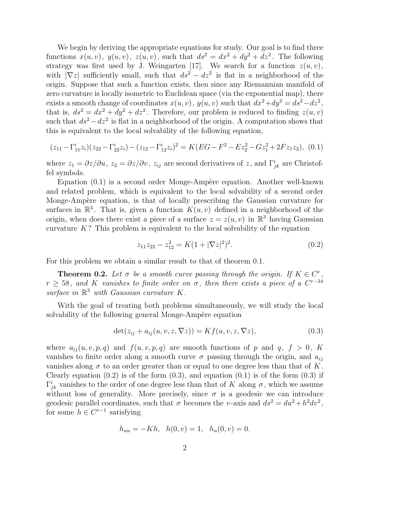We begin by deriving the appropriate equations for study. Our goal is to find three functions  $x(u, v)$ ,  $y(u, v)$ ,  $z(u, v)$ , such that  $ds^2 = dx^2 + dy^2 + dz^2$ . The following strategy was first used by J. Weingarten [17]. We search for a function  $z(u, v)$ , with  $|\nabla z|$  sufficiently small, such that  $ds^2 - dz^2$  is flat in a neighborhood of the origin. Suppose that such a function exists, then since any Riemannian manifold of zero curvature is locally isometric to Euclidean space (via the exponential map), there exists a smooth change of coordinates  $x(u, v)$ ,  $y(u, v)$  such that  $dx^2 + dy^2 = ds^2 - dz^2$ , that is,  $ds^2 = dx^2 + dy^2 + dz^2$ . Therefore, our problem is reduced to finding  $z(u, v)$ such that  $ds^2 - dz^2$  is flat in a neighborhood of the origin. A computation shows that this is equivalent to the local solvability of the following equation,

$$
(z_{11} - \Gamma_{11}^{i} z_i)(z_{22} - \Gamma_{22}^{i} z_i) - (z_{12} - \Gamma_{12}^{i} z_i)^2 = K(EG - F^2 - Ez_2^2 - Gz_1^2 + 2Fz_1z_2), \tag{0.1}
$$

where  $z_1 = \partial z/\partial u$ ,  $z_2 = \partial z/\partial v$ ,  $z_{ij}$  are second derivatives of z, and  $\Gamma^i_{jk}$  are Christoffel symbols.

Equation  $(0.1)$  is a second order Monge-Ampère equation. Another well-known and related problem, which is equivalent to the local solvability of a second order Monge-Ampère equation, is that of locally prescribing the Gaussian curvature for surfaces in  $\mathbb{R}^3$ . That is, given a function  $K(u, v)$  defined in a neighborhood of the origin, when does there exist a piece of a surface  $z = z(u, v)$  in  $\mathbb{R}^3$  having Gaussian curvature  $K$ ? This problem is equivalent to the local solvability of the equation

$$
z_{11}z_{22} - z_{12}^2 = K(1 + |\nabla z|^2)^2.
$$
\n(0.2)

For this problem we obtain a similar result to that of theorem 0.1.

**Theorem 0.2.** Let  $\sigma$  be a smooth curve passing through the origin. If  $K \in C^r$ ,  $r \geq 58$ , and K vanishes to finite order on  $\sigma$ , then there exists a piece of a C<sup>r-34</sup> surface in  $\mathbb{R}^3$  with Gaussian curvature  $K$ .

With the goal of treating both problems simultaneously, we will study the local solvability of the following general Monge-Ampère equation

$$
\det(z_{ij} + a_{ij}(u, v, z, \nabla z)) = Kf(u, v, z, \nabla z),\tag{0.3}
$$

where  $a_{ij}(u, v, p, q)$  and  $f(u, v, p, q)$  are smooth functions of p and q,  $f > 0$ , K vanishes to finite order along a smooth curve  $\sigma$  passing through the origin, and  $a_{ij}$ vanishes along  $\sigma$  to an order greater than or equal to one degree less than that of K. Clearly equation  $(0.2)$  is of the form  $(0.3)$ , and equation  $(0.1)$  is of the form  $(0.3)$  if  $\Gamma^i_{jk}$  vanishes to the order of one degree less than that of K along  $\sigma$ , which we assume without loss of generality. More precisely, since  $\sigma$  is a geodesic we can introduce geodesic parallel coordinates, such that  $\sigma$  becomes the v-axis and  $ds^2 = du^2 + h^2 dv^2$ , for some  $h \in C^{r-1}$  satisfying

$$
h_{uu} = -Kh, \quad h(0, v) = 1, \quad h_u(0, v) = 0.
$$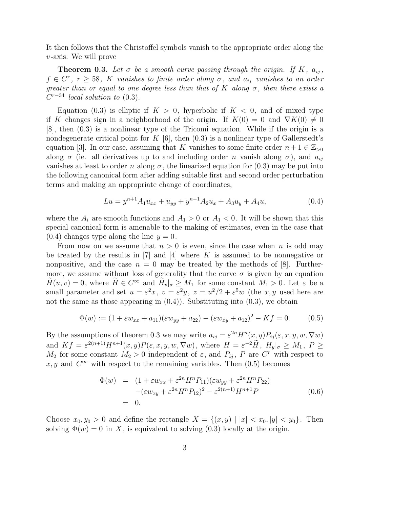It then follows that the Christoffel symbols vanish to the appropriate order along the  $v$ -axis. We will prove

**Theorem 0.3.** Let  $\sigma$  be a smooth curve passing through the origin. If K,  $a_{ij}$ ,  $f \in C^r$ ,  $r \geq 58$ , K vanishes to finite order along  $\sigma$ , and  $a_{ij}$  vanishes to an order greater than or equal to one degree less than that of K along  $\sigma$ , then there exists a  $C^{r-34}$  local solution to (0.3).

Equation (0.3) is elliptic if  $K > 0$ , hyperbolic if  $K < 0$ , and of mixed type if K changes sign in a neighborhood of the origin. If  $K(0) = 0$  and  $\nabla K(0) \neq 0$ [8], then (0.3) is a nonlinear type of the Tricomi equation. While if the origin is a nondegenerate critical point for K  $[6]$ , then  $(0.3)$  is a nonlinear type of Gallerstedt's equation [3]. In our case, assuming that K vanishes to some finite order  $n+1 \in \mathbb{Z}_{>0}$ along  $\sigma$  (ie. all derivatives up to and including order n vanish along  $\sigma$ ), and  $a_{ij}$ vanishes at least to order n along  $\sigma$ , the linearized equation for (0.3) may be put into the following canonical form after adding suitable first and second order perturbation terms and making an appropriate change of coordinates,

$$
Lu = y^{n+1}A_1u_{xx} + u_{yy} + y^{n-1}A_2u_x + A_3u_y + A_4u,
$$
\n(0.4)

where the  $A_i$  are smooth functions and  $A_1 > 0$  or  $A_1 < 0$ . It will be shown that this special canonical form is amenable to the making of estimates, even in the case that  $(0.4)$  changes type along the line  $y = 0$ .

From now on we assume that  $n > 0$  is even, since the case when n is odd may be treated by the results in [7] and [4] where K is assumed to be nonnegative or nonpositive, and the case  $n = 0$  may be treated by the methods of [8]. Furthermore, we assume without loss of generality that the curve  $\sigma$  is given by an equation  $H(u, v) = 0$ , where  $H \in C^{\infty}$  and  $H_v|_{\sigma} \geq M_1$  for some constant  $M_1 > 0$ . Let  $\varepsilon$  be a small parameter and set  $u = \varepsilon^2 x$ ,  $v = \varepsilon^2 y$ ,  $z = u^2/2 + \varepsilon^5 w$  (the x, y used here are not the same as those appearing in  $(0.4)$ . Substituting into  $(0.3)$ , we obtain

$$
\Phi(w) := (1 + \varepsilon w_{xx} + a_{11})(\varepsilon w_{yy} + a_{22}) - (\varepsilon w_{xy} + a_{12})^2 - Kf = 0. \tag{0.5}
$$

By the assumptions of theorem 0.3 we may write  $a_{ij} = \varepsilon^{2n} H^n(x, y) P_{ij}(\varepsilon, x, y, w, \nabla w)$ and  $Kf = \varepsilon^{2(n+1)}H^{n+1}(x, y)P(\varepsilon, x, y, w, \nabla w)$ , where  $H = \varepsilon^{-2}\tilde{H}$ ,  $H_y|_{\sigma} \geq M_1$ ,  $P \geq$  $M_2$  for some constant  $M_2 > 0$  independent of  $\varepsilon$ , and  $P_{ij}$ , P are  $C^r$  with respect to x, y and  $C^{\infty}$  with respect to the remaining variables. Then  $(0.5)$  becomes

$$
\Phi(w) = (1 + \varepsilon w_{xx} + \varepsilon^{2n} H^n P_{11})(\varepsilon w_{yy} + \varepsilon^{2n} H^n P_{22})
$$
  
-( $\varepsilon w_{xy} + \varepsilon^{2n} H^n P_{12})^2 - \varepsilon^{2(n+1)} H^{n+1} P$   
= 0. (0.6)

Choose  $x_0, y_0 > 0$  and define the rectangle  $X = \{(x, y) | |x| < x_0, |y| < y_0\}$ . Then solving  $\Phi(w) = 0$  in X, is equivalent to solving (0.3) locally at the origin.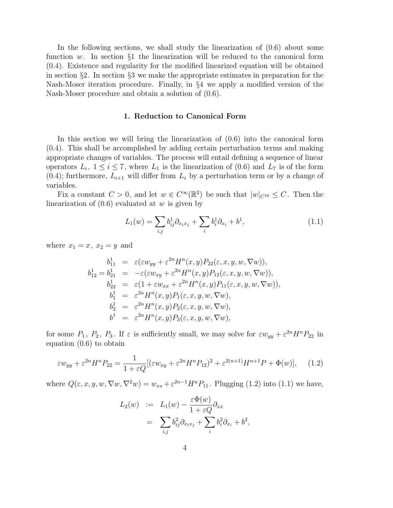In the following sections, we shall study the linearization of (0.6) about some function w. In section  $\S1$  the linearization will be reduced to the canonical form (0.4). Existence and regularity for the modified linearized equation will be obtained in section §2. In section §3 we make the appropriate estimates in preparation for the Nash-Moser iteration procedure. Finally, in §4 we apply a modified version of the Nash-Moser procedure and obtain a solution of (0.6).

# 1. Reduction to Canonical Form

In this section we will bring the linearization of (0.6) into the canonical form (0.4). This shall be accomplished by adding certain perturbation terms and making appropriate changes of variables. The process will entail defining a sequence of linear operators  $L_i$ ,  $1 \le i \le 7$ , where  $L_1$  is the linearization of (0.6) and  $L_7$  is of the form  $(0.4)$ ; furthermore,  $L_{i+1}$  will differ from  $L_i$  by a perturbation term or by a change of variables.

Fix a constant  $C > 0$ , and let  $w \in C^{\infty}(\mathbb{R}^2)$  be such that  $|w|_{C^{16}} \leq C$ . Then the linearization of  $(0.6)$  evaluated at w is given by

$$
L_1(w) = \sum_{i,j} b_{ij}^1 \partial_{x_i x_j} + \sum_i b_i^1 \partial_{x_i} + b^1,
$$
\n(1.1)

where  $x_1 = x$ ,  $x_2 = y$  and

$$
b_{11}^1 = \varepsilon(\varepsilon w_{yy} + \varepsilon^{2n} H^n(x, y) P_{22}(\varepsilon, x, y, w, \nabla w)),
$$
  
\n
$$
b_{12}^1 = b_{21}^1 = -\varepsilon(\varepsilon w_{xy} + \varepsilon^{2n} H^n(x, y) P_{12}(\varepsilon, x, y, w, \nabla w)),
$$
  
\n
$$
b_{22}^1 = \varepsilon(1 + \varepsilon w_{xx} + \varepsilon^{2n} H^n(x, y) P_{11}(\varepsilon, x, y, w, \nabla w)),
$$
  
\n
$$
b_1^1 = \varepsilon^{2n} H^n(x, y) P_1(\varepsilon, x, y, w, \nabla w),
$$
  
\n
$$
b_2^1 = \varepsilon^{2n} H^n(x, y) P_2(\varepsilon, x, y, w, \nabla w),
$$
  
\n
$$
b_1^1 = \varepsilon^{2n} H^n(x, y) P_3(\varepsilon, x, y, w, \nabla w),
$$

for some  $P_1, P_2, P_3$ . If  $\varepsilon$  is sufficiently small, we may solve for  $\varepsilon w_{yy} + \varepsilon^{2n} H^n P_{22}$  in equation (0.6) to obtain

$$
\varepsilon w_{yy} + \varepsilon^{2n} H^n P_{22} = \frac{1}{1 + \varepsilon Q} [(\varepsilon w_{xy} + \varepsilon^{2n} H^n P_{12})^2 + \varepsilon^{2(n+1)} H^{n+1} P + \Phi(w)], \quad (1.2)
$$

where  $Q(\varepsilon, x, y, w, \nabla w, \nabla^2 w) = w_{xx} + \varepsilon^{2n-1} H^n P_{11}$ . Plugging (1.2) into (1.1) we have,

$$
L_2(w) := L_1(w) - \frac{\varepsilon \Phi(w)}{1 + \varepsilon Q} \partial_{xx}
$$
  
= 
$$
\sum_{i,j} b_{ij}^2 \partial_{x_i x_j} + \sum_i b_i^2 \partial_{x_i} + b^2,
$$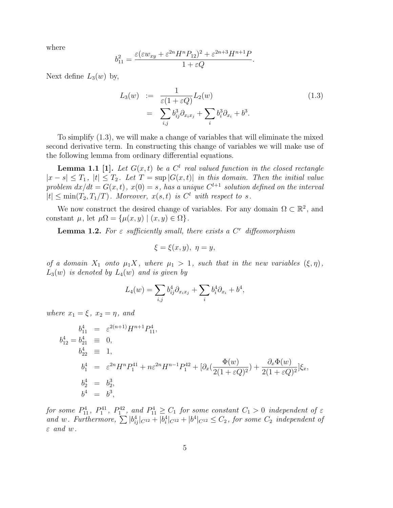where

$$
b_{11}^2 = \frac{\varepsilon(\varepsilon w_{xy} + \varepsilon^{2n} H^n P_{12})^2 + \varepsilon^{2n+3} H^{n+1} P}{1 + \varepsilon Q}.
$$

Next define  $L_3(w)$  by,

$$
L_3(w) := \frac{1}{\varepsilon (1 + \varepsilon Q)} L_2(w)
$$
  
= 
$$
\sum_{i,j} b_{ij}^3 \partial_{x_i x_j} + \sum_i b_i^3 \partial_{x_i} + b^3.
$$
 (1.3)

To simplify (1.3), we will make a change of variables that will eliminate the mixed second derivative term. In constructing this change of variables we will make use of the following lemma from ordinary differential equations.

**Lemma 1.1** [1]. Let  $G(x,t)$  be a  $C<sup>l</sup>$  real valued function in the closed rectangle  $|x - s| \leq T_1$ ,  $|t| \leq T_2$ . Let  $T = \sup |G(x, t)|$  in this domain. Then the initial value problem  $dx/dt = G(x,t)$ ,  $x(0) = s$ , has a unique  $C^{l+1}$  solution defined on the interval  $|t| \leq \min(T_2, T_1/T)$ . Moreover,  $x(s,t)$  is  $C^l$  with respect to s.

We now construct the desired change of variables. For any domain  $\Omega \subset \mathbb{R}^2$ , and constant  $\mu$ , let  $\mu\Omega = {\mu(x, y) | (x, y) \in \Omega}.$ 

**Lemma 1.2.** For  $\varepsilon$  sufficiently small, there exists a  $C<sup>r</sup>$  diffeomorphism

$$
\xi = \xi(x, y), \ \eta = y,
$$

of a domain  $X_1$  onto  $\mu_1 X$ , where  $\mu_1 > 1$ , such that in the new variables  $(\xi, \eta)$ ,  $L_3(w)$  is denoted by  $L_4(w)$  and is given by

$$
L_4(w) = \sum_{i,j} b_{ij}^4 \partial_{x_i x_j} + \sum_i b_i^4 \partial_{x_i} + b^4,
$$

where  $x_1 = \xi$ ,  $x_2 = \eta$ , and

$$
b_{11}^4 = \varepsilon^{2(n+1)} H^{n+1} P_{11}^4,
$$
  
\n
$$
b_{12}^4 = b_{21}^4 \equiv 0,
$$
  
\n
$$
b_{22}^4 \equiv 1,
$$
  
\n
$$
b_1^4 = \varepsilon^{2n} H^n P_1^{41} + n\varepsilon^{2n} H^{n-1} P_1^{42} + [\partial_x(\frac{\Phi(w)}{2(1+\varepsilon Q)^2}) + \frac{\partial_x \Phi(w)}{2(1+\varepsilon Q)^2}] \xi_x,
$$
  
\n
$$
b_2^4 = b_2^3,
$$
  
\n
$$
b_4^4 = b_3^3,
$$

for some  $P_{11}^4$ ,  $P_1^{41}$ ,  $P_1^{42}$ , and  $P_{11}^4 \ge C_1$  for some constant  $C_1 > 0$  independent of  $\varepsilon$ and w. Furthermore,  $\sum |b_{ij}^4|_{C^{12}} + |b_i^4|_{C^{12}} + |b_1^4|_{C^{12}} \leq C_2$ , for some  $C_2$  independent of  $\varepsilon$  and  $w$ .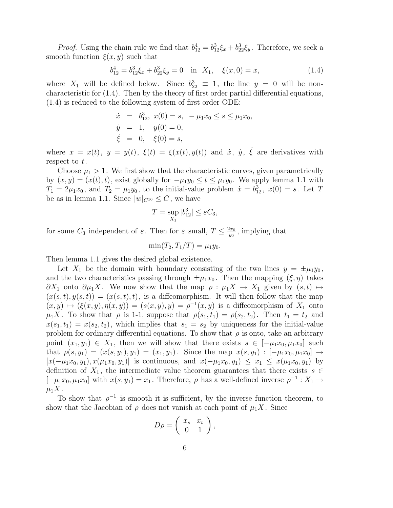*Proof.* Using the chain rule we find that  $b_{12}^4 = b_{12}^3 \xi_x + b_{22}^3 \xi_y$ . Therefore, we seek a smooth function  $\xi(x, y)$  such that

$$
b_{12}^4 = b_{12}^3 \xi_x + b_{22}^3 \xi_y = 0 \quad \text{in} \quad X_1, \quad \xi(x, 0) = x,\tag{1.4}
$$

where  $X_1$  will be defined below. Since  $b_{22}^3 \equiv 1$ , the line  $y = 0$  will be noncharacteristic for (1.4). Then by the theory of first order partial differential equations, (1.4) is reduced to the following system of first order ODE:

$$
\dot{x} = b_{12}^3, \ x(0) = s, \ -\mu_1 x_0 \le s \le \mu_1 x_0, \n\dot{y} = 1, \ y(0) = 0, \n\dot{\xi} = 0, \ \xi(0) = s,
$$

where  $x = x(t)$ ,  $y = y(t)$ ,  $\xi(t) = \xi(x(t), y(t))$  and  $\dot{x}$ ,  $\dot{y}$ ,  $\dot{\xi}$  are derivatives with respect to  $t$ .

Choose  $\mu_1 > 1$ . We first show that the characteristic curves, given parametrically by  $(x, y) = (x(t), t)$ , exist globally for  $-\mu_1 y_0 \le t \le \mu_1 y_0$ . We apply lemma 1.1 with  $T_1 = 2\mu_1 x_0$ , and  $T_2 = \mu_1 y_0$ , to the initial-value problem  $\dot{x} = b_{12}^3$ ,  $x(0) = s$ . Let T be as in lemma 1.1. Since  $|w|_{C^{16}} \leq C$ , we have

$$
T = \sup_{X_1} |b_{12}^3| \le \varepsilon C_3,
$$

for some  $C_3$  independent of  $\varepsilon$ . Then for  $\varepsilon$  small,  $T \leq \frac{2x_0}{y_0}$  $\frac{2x_0}{y_0}$ , implying that

$$
\min(T_2, T_1/T) = \mu_1 y_0.
$$

Then lemma 1.1 gives the desired global existence.

Let  $X_1$  be the domain with boundary consisting of the two lines  $y = \pm \mu_1 y_0$ , and the two characteristics passing through  $\pm \mu_1 x_0$ . Then the mapping  $(\xi, \eta)$  takes  $\partial X_1$  onto  $\partial \mu_1 X$ . We now show that the map  $\rho : \mu_1 X \to X_1$  given by  $(s, t) \mapsto$  $(x(s,t), y(s,t)) = (x(s,t), t)$ , is a diffeomorphism. It will then follow that the map  $(x, y) \mapsto (\xi(x, y), \eta(x, y)) = (s(x, y), y) = \rho^{-1}(x, y)$  is a diffeomorphism of  $X_1$  onto  $\mu_1 X$ . To show that  $\rho$  is 1-1, suppose that  $\rho(s_1, t_1) = \rho(s_2, t_2)$ . Then  $t_1 = t_2$  and  $x(s_1, t_1) = x(s_2, t_2)$ , which implies that  $s_1 = s_2$  by uniqueness for the initial-value problem for ordinary differential equations. To show that  $\rho$  is onto, take an arbitrary point  $(x_1, y_1) \in X_1$ , then we will show that there exists  $s \in [-\mu_1 x_0, \mu_1 x_0]$  such that  $\rho(s, y_1) = (x(s, y_1), y_1) = (x_1, y_1)$ . Since the map  $x(s, y_1) : [-\mu_1 x_0, \mu_1 x_0] \rightarrow$  $[x(-\mu_1x_0, y_1), x(\mu_1x_0, y_1)]$  is continuous, and  $x(-\mu_1x_0, y_1) \leq x_1 \leq x(\mu_1x_0, y_1)$  by definition of  $X_1$ , the intermediate value theorem guarantees that there exists  $s \in$  $[-\mu_1 x_0, \mu_1 x_0]$  with  $x(s, y_1) = x_1$ . Therefore,  $\rho$  has a well-defined inverse  $\rho^{-1} : X_1 \to X_2$  $\mu_1 X$ .

To show that  $\rho^{-1}$  is smooth it is sufficient, by the inverse function theorem, to show that the Jacobian of  $\rho$  does not vanish at each point of  $\mu_1 X$ . Since

$$
D\rho = \left(\begin{array}{cc} x_s & x_t \\ 0 & 1 \end{array}\right),
$$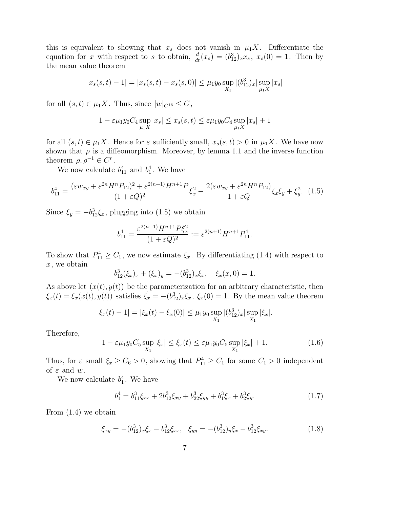this is equivalent to showing that  $x_s$  does not vanish in  $\mu_1 X$ . Differentiate the equation for x with respect to s to obtain,  $\frac{d}{dt}(x_s) = (b_{12}^3)_x x_s, x_s(0) = 1$ . Then by the mean value theorem

$$
|x_s(s,t) - 1| = |x_s(s,t) - x_s(s,0)| \le \mu_1 y_0 \sup_{X_1} |(b_{12}^3)_x| \sup_{\mu_1 X} |x_s|
$$

for all  $(s, t) \in \mu_1 X$ . Thus, since  $|w|_{C^{16}} \leq C$ ,

$$
1 - \varepsilon \mu_1 y_0 C_4 \sup_{\mu_1 X} |x_s| \le x_s(s, t) \le \varepsilon \mu_1 y_0 C_4 \sup_{\mu_1 X} |x_s| + 1
$$

for all  $(s, t) \in \mu_1 X$ . Hence for  $\varepsilon$  sufficiently small,  $x_s(s,t) > 0$  in  $\mu_1 X$ . We have now shown that  $\rho$  is a diffeomorphism. Moreover, by lemma 1.1 and the inverse function theorem  $\rho, \rho^{-1} \in C^r$ .

We now calculate  $b_{11}^4$  and  $b_1^4$ . We have

$$
b_{11}^4 = \frac{(\varepsilon w_{xy} + \varepsilon^{2n} H^n P_{12})^2 + \varepsilon^{2(n+1)} H^{n+1} P}{(1 + \varepsilon Q)^2} \xi_x^2 - \frac{2(\varepsilon w_{xy} + \varepsilon^{2n} H^n P_{12})}{1 + \varepsilon Q} \xi_x \xi_y + \xi_y^2. \tag{1.5}
$$

Since  $\xi_y = -b_{12}^3 \xi_x$ , plugging into (1.5) we obtain

$$
b_{11}^4 = \frac{\varepsilon^{2(n+1)} H^{n+1} P \xi_x^2}{(1 + \varepsilon Q)^2} := \varepsilon^{2(n+1)} H^{n+1} P_{11}^4.
$$

To show that  $P_{11}^4 \geq C_1$ , we now estimate  $\xi_x$ . By differentiating (1.4) with respect to  $x$ , we obtain

$$
b_{12}^3(\xi_x)_x + (\xi_x)_y = -(b_{12}^3)_x \xi_x, \quad \xi_x(x,0) = 1.
$$

As above let  $(x(t), y(t))$  be the parameterization for an arbitrary characteristic, then  $\xi_x(t) = \xi_x(x(t), y(t))$  satisfies  $\xi_x = -(b_{12}^3)_x \xi_x$ ,  $\xi_x(0) = 1$ . By the mean value theorem

$$
|\xi_x(t) - 1| = |\xi_x(t) - \xi_x(0)| \le \mu_1 y_0 \sup_{X_1} |(b_{12}^3)_x| \sup_{X_1} |\xi_x|.
$$

Therefore,

$$
1 - \varepsilon \mu_1 y_0 C_5 \sup_{X_1} |\xi_x| \le \xi_x(t) \le \varepsilon \mu_1 y_0 C_5 \sup_{X_1} |\xi_x| + 1. \tag{1.6}
$$

Thus, for  $\varepsilon$  small  $\xi_x \ge C_6 > 0$ , showing that  $P_{11}^4 \ge C_1$  for some  $C_1 > 0$  independent of  $\varepsilon$  and  $w$ .

We now calculate  $b_1^4$ . We have

$$
b_1^4 = b_{11}^3 \xi_{xx} + 2b_{12}^3 \xi_{xy} + b_{22}^3 \xi_{yy} + b_1^3 \xi_x + b_2^3 \xi_y.
$$
 (1.7)

From (1.4) we obtain

$$
\xi_{xy} = -(b_{12}^3)_x \xi_x - b_{12}^3 \xi_{xx}, \quad \xi_{yy} = -(b_{12}^3)_y \xi_x - b_{12}^3 \xi_{xy}.
$$
 (1.8)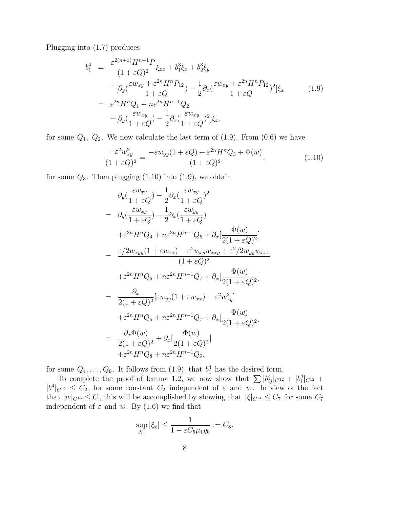Plugging into (1.7) produces

$$
b_1^4 = \frac{\varepsilon^{2(n+1)} H^{n+1} P}{(1 + \varepsilon Q)^2} \xi_{xx} + b_1^3 \xi_x + b_2^3 \xi_y
$$
  
+ 
$$
[\partial_y (\frac{\varepsilon w_{xy} + \varepsilon^{2n} H^n P_{12}}{1 + \varepsilon Q}) - \frac{1}{2} \partial_x (\frac{\varepsilon w_{xy} + \varepsilon^{2n} H^n P_{12}}{1 + \varepsilon Q})^2] \xi_x
$$
  
= 
$$
\varepsilon^{2n} H^n Q_1 + n\varepsilon^{2n} H^{n-1} Q_2
$$
  
+ 
$$
[\partial_y (\frac{\varepsilon w_{xy}}{1 + \varepsilon Q}) - \frac{1}{2} \partial_x (\frac{\varepsilon w_{xy}}{1 + \varepsilon Q})^2] \xi_x,
$$
 (1.9)

for some  $Q_1, Q_2$ . We now calculate the last term of  $(1.9)$ . From  $(0.6)$  we have

$$
\frac{-\varepsilon^2 w_{xy}^2}{(1+\varepsilon Q)^2} = \frac{-\varepsilon w_{yy}(1+\varepsilon Q) + \varepsilon^{2n} H^n Q_3 + \Phi(w)}{(1+\varepsilon Q)^2},\tag{1.10}
$$

for some  $Q_3$ . Then plugging  $(1.10)$  into  $(1.9)$ , we obtain

$$
\partial_y(\frac{\varepsilon w_{xy}}{1+\varepsilon Q}) - \frac{1}{2}\partial_x(\frac{\varepsilon w_{xy}}{1+\varepsilon Q})^2
$$
\n
$$
= \partial_y(\frac{\varepsilon w_{xy}}{1+\varepsilon Q}) - \frac{1}{2}\partial_x(\frac{\varepsilon w_{yy}}{1+\varepsilon Q})
$$
\n
$$
+ \varepsilon^{2n}H^nQ_4 + n\varepsilon^{2n}H^{n-1}Q_5 + \partial_x[\frac{\Phi(w)}{2(1+\varepsilon Q)^2}]
$$
\n
$$
= \frac{\varepsilon/2w_{xyy}(1+\varepsilon w_{xx}) - \varepsilon^2 w_{xy}w_{xxy} + \varepsilon^2/2w_{yy}w_{xxx}}{(1+\varepsilon Q)^2}
$$
\n
$$
+ \varepsilon^{2n}H^nQ_6 + n\varepsilon^{2n}H^{n-1}Q_7 + \partial_x[\frac{\Phi(w)}{2(1+\varepsilon Q)^2}]
$$
\n
$$
= \frac{\partial_x}{2(1+\varepsilon Q)^2}[\varepsilon w_{yy}(1+\varepsilon w_{xx}) - \varepsilon^2 w_{xy}^2]
$$
\n
$$
+ \varepsilon^{2n}H^nQ_6 + n\varepsilon^{2n}H^{n-1}Q_7 + \partial_x[\frac{\Phi(w)}{2(1+\varepsilon Q)^2}]
$$
\n
$$
= \frac{\partial_x\Phi(w)}{2(1+\varepsilon Q)^2} + \partial_x[\frac{\Phi(w)}{2(1+\varepsilon Q)^2}]
$$
\n
$$
+ \varepsilon^{2n}H^nQ_8 + n\varepsilon^{2n}H^{n-1}Q_9,
$$

for some  $Q_4, \ldots, Q_9$ . It follows from  $(1.9)$ , that  $b_1^4$  has the desired form.

To complete the proof of lemma 1.2, we now show that  $\sum |b_{ij}^4|_{C^{12}} + |b_i^4|_{C^{12}} +$  $|b^4|_{C^{12}} \leq C_2$ , for some constant  $C_2$  independent of  $\varepsilon$  and w. In view of the fact that  $|w|_{C^{16}} \leq C$ , this will be accomplished by showing that  $|\xi|_{C^{14}} \leq C_7$  for some  $C_7$ independent of  $\varepsilon$  and w. By (1.6) we find that

$$
\sup_{X_1} |\xi_x| \le \frac{1}{1 - \varepsilon C_5 \mu_1 y_0} := C_8.
$$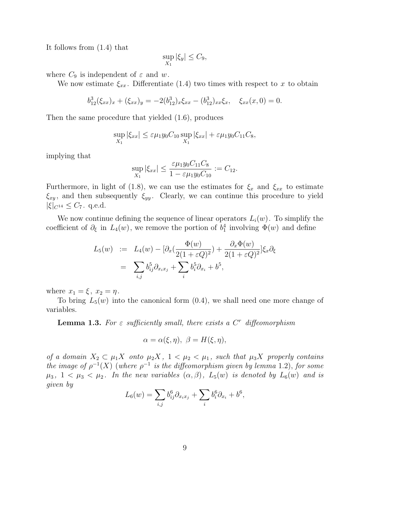It follows from (1.4) that

$$
\sup_{X_1} |\xi_y| \le C_9,
$$

where  $C_9$  is independent of  $\varepsilon$  and w.

We now estimate  $\xi_{xx}$ . Differentiate (1.4) two times with respect to x to obtain

$$
b_{12}^3(\xi_{xx})_x + (\xi_{xx})_y = -2(b_{12}^3)_x \xi_{xx} - (b_{12}^3)_x \xi_x, \quad \xi_{xx}(x,0) = 0.
$$

Then the same procedure that yielded (1.6), produces

$$
\sup_{X_1} |\xi_{xx}| \leq \varepsilon \mu_1 y_0 C_{10} \sup_{X_1} |\xi_{xx}| + \varepsilon \mu_1 y_0 C_{11} C_8,
$$

implying that

$$
\sup_{X_1} |\xi_{xx}| \le \frac{\varepsilon \mu_1 y_0 C_{11} C_8}{1 - \varepsilon \mu_1 y_0 C_{10}} := C_{12}.
$$

Furthermore, in light of (1.8), we can use the estimates for  $\xi_x$  and  $\xi_{xx}$  to estimate  $\xi_{xy}$ , and then subsequently  $\xi_{yy}$ . Clearly, we can continue this procedure to yield  $|\xi|_{C^{14}} \leq C_7$ . q.e.d.

We now continue defining the sequence of linear operators  $L_i(w)$ . To simplify the coefficient of  $\partial_{\xi}$  in  $L_4(w)$ , we remove the portion of  $b_1^4$  involving  $\Phi(w)$  and define

$$
L_5(w) := L_4(w) - \left[\partial_x \left(\frac{\Phi(w)}{2(1+\varepsilon Q)^2}\right) + \frac{\partial_x \Phi(w)}{2(1+\varepsilon Q)^2}\right] \xi_x \partial_{\xi}
$$
  
= 
$$
\sum_{i,j} b_{ij}^5 \partial_{x_i x_j} + \sum_i b_i^5 \partial_{x_i} + b^5,
$$

where  $x_1 = \xi$ ,  $x_2 = \eta$ .

To bring  $L_5(w)$  into the canonical form  $(0.4)$ , we shall need one more change of variables.

**Lemma 1.3.** For  $\varepsilon$  sufficiently small, there exists a  $C<sup>r</sup>$  diffeomorphism

$$
\alpha = \alpha(\xi, \eta), \ \beta = H(\xi, \eta),
$$

of a domain  $X_2 \subset \mu_1 X$  onto  $\mu_2 X$ ,  $1 < \mu_2 < \mu_1$ , such that  $\mu_3 X$  properly contains the image of  $\rho^{-1}(X)$  (where  $\rho^{-1}$  is the diffeomorphism given by lemma 1.2), for some  $\mu_3$ ,  $1 < \mu_3 < \mu_2$ . In the new variables  $(\alpha, \beta)$ ,  $L_5(w)$  is denoted by  $L_6(w)$  and is given by

$$
L_6(w) = \sum_{i,j} b_{ij}^6 \partial_{x_i x_j} + \sum_i b_i^6 \partial_{x_i} + b^6,
$$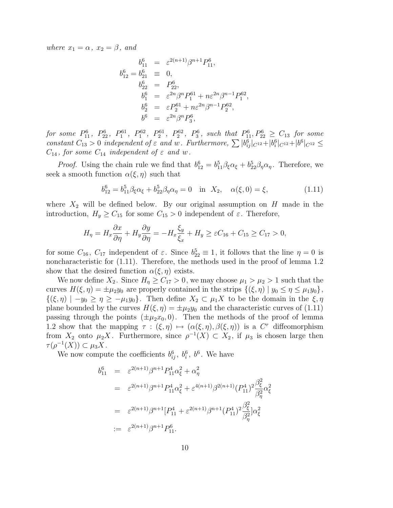where  $x_1 = \alpha$ ,  $x_2 = \beta$ , and

$$
b_{11}^{6} = \varepsilon^{2(n+1)} \beta^{n+1} P_{11}^{6},
$$
  
\n
$$
b_{12}^{6} = b_{21}^{6} \equiv 0,
$$
  
\n
$$
b_{22}^{6} = P_{22}^{6},
$$
  
\n
$$
b_{1}^{6} = \varepsilon^{2n} \beta^{n} P_{1}^{61} + n\varepsilon^{2n} \beta^{n-1} P_{1}^{62},
$$
  
\n
$$
b_{2}^{6} = \varepsilon P_{2}^{61} + n\varepsilon^{2n} \beta^{n-1} P_{2}^{62},
$$
  
\n
$$
b_{9}^{6} = \varepsilon^{2n} \beta^{n} P_{3}^{6},
$$

for some  $P_{11}^6$ ,  $P_{22}^6$ ,  $P_{1}^{61}$ ,  $P_{1}^{62}$ ,  $P_{2}^{61}$ ,  $P_{2}^{62}$ ,  $P_{3}^6$ , such that  $P_{11}^6$ ,  $P_{22}^6 \ge C_{13}$  for some constant  $C_{13} > 0$  independent of  $\varepsilon$  and w. Furthermore,  $\sum |b_{ij}^6|_{C^{12}} + |b_i^6|_{C^{12}} + |b_{i}^6|_{C^{12}} \le$  $C_{14}$ , for some  $C_{14}$  independent of  $\varepsilon$  and w.

*Proof.* Using the chain rule we find that  $b_{12}^6 = b_{11}^5 \beta_{\xi} \alpha_{\xi} + b_{22}^5 \beta_{\eta} \alpha_{\eta}$ . Therefore, we seek a smooth function  $\alpha(\xi, \eta)$  such that

$$
b_{12}^6 = b_{11}^5 \beta_\xi \alpha_\xi + b_{22}^5 \beta_\eta \alpha_\eta = 0 \quad \text{in} \ \ X_2, \quad \alpha(\xi, 0) = \xi,\tag{1.11}
$$

where  $X_2$  will be defined below. By our original assumption on H made in the introduction,  $H_y \geq C_{15}$  for some  $C_{15} > 0$  independent of  $\varepsilon$ . Therefore,

$$
H_{\eta} = H_x \frac{\partial x}{\partial \eta} + H_y \frac{\partial y}{\partial \eta} = -H_x \frac{\xi_y}{\xi_x} + H_y \ge \varepsilon C_{16} + C_{15} \ge C_{17} > 0,
$$

for some  $C_{16}$ ,  $C_{17}$  independent of  $\varepsilon$ . Since  $b_{22}^5 \equiv 1$ , it follows that the line  $\eta = 0$  is noncharacteristic for (1.11). Therefore, the methods used in the proof of lemma 1.2 show that the desired function  $\alpha(\xi, \eta)$  exists.

We now define  $X_2$ . Since  $H_\eta \geq C_{17} > 0$ , we may choose  $\mu_1 > \mu_2 > 1$  such that the curves  $H(\xi, \eta) = \pm \mu_2 y_0$  are properly contained in the strips  $\{(\xi, \eta) | y_0 \leq \eta \leq \mu_1 y_0\},\$  $\{(\xi,\eta) \mid -y_0 \geq \eta \geq -\mu_1 y_0\}.$  Then define  $X_2 \subset \mu_1 X$  to be the domain in the  $\xi,\eta$ plane bounded by the curves  $H(\xi, \eta) = \pm \mu_2 y_0$  and the characteristic curves of (1.11) passing through the points  $(\pm \mu_2 x_0, 0)$ . Then the methods of the proof of lemma 1.2 show that the mapping  $\tau : (\xi, \eta) \mapsto (\alpha(\xi, \eta), \beta(\xi, \eta))$  is a C<sup>r</sup> diffeomorphism from  $X_2$  onto  $\mu_2 X$ . Furthermore, since  $\rho^{-1}(X) \subset X_2$ , if  $\mu_3$  is chosen large then  $\tau(\rho^{-1}(X)) \subset \mu_3 X$ .

We now compute the coefficients  $b_{ij}^6$ ,  $b_i^6$ ,  $b^6$ . We have

$$
b_{11}^{6} = \varepsilon^{2(n+1)} \beta^{n+1} P_{11}^{4} \alpha_{\xi}^{2} + \alpha_{\eta}^{2}
$$
  
\n
$$
= \varepsilon^{2(n+1)} \beta^{n+1} P_{11}^{4} \alpha_{\xi}^{2} + \varepsilon^{4(n+1)} \beta^{2(n+1)} (P_{11}^{4})^{2} \frac{\beta_{\xi}^{2}}{\beta_{\eta}^{2}} \alpha_{\xi}^{2}
$$
  
\n
$$
= \varepsilon^{2(n+1)} \beta^{n+1} [P_{11}^{4} + \varepsilon^{2(n+1)} \beta^{n+1} (P_{11}^{4})^{2} \frac{\beta_{\xi}^{2}}{\beta_{\eta}^{2}}] \alpha_{\xi}^{2}
$$
  
\n
$$
:= \varepsilon^{2(n+1)} \beta^{n+1} P_{11}^{6}.
$$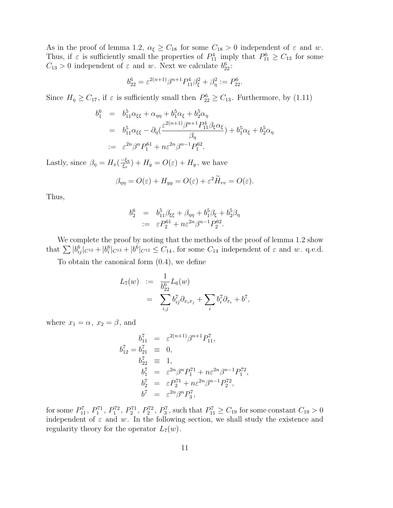As in the proof of lemma 1.2,  $\alpha_{\xi} \geq C_{18}$  for some  $C_{18} > 0$  independent of  $\varepsilon$  and w. Thus, if  $\varepsilon$  is sufficiently small the properties of  $P_{11}^4$  imply that  $P_{11}^6 \geq C_{13}$  for some  $C_{13} > 0$  independent of  $\varepsilon$  and w. Next we calculate  $b_{22}^6$ :

$$
b_{22}^6 = \varepsilon^{2(n+1)} \beta^{n+1} P_{11}^4 \beta_{\xi}^2 + \beta_{\eta}^2 := P_{22}^6.
$$

Since  $H_{\eta} \geq C_{17}$ , if  $\varepsilon$  is sufficiently small then  $P_{22}^6 \geq C_{13}$ . Furthermore, by (1.11)

$$
b_1^6 = b_{11}^5 \alpha_{\xi\xi} + \alpha_{\eta\eta} + b_1^5 \alpha_{\xi} + b_2^5 \alpha_{\eta}
$$
  
=  $b_{11}^5 \alpha_{\xi\xi} - \partial_{\eta} (\frac{\varepsilon^{2(n+1)} \beta^{n+1} P_{11}^4 \beta_{\xi} \alpha_{\xi}}{\beta_{\eta}}) + b_1^5 \alpha_{\xi} + b_2^5 \alpha_{\eta}$   
:=  $\varepsilon^{2n} \beta^n P_1^{61} + n\varepsilon^{2n} \beta^{n-1} P_1^{62}$ .

Lastly, since  $\beta_{\eta} = H_x(\frac{-\xi_y}{\xi_x})$  $(\frac{\xi_y}{\xi_x}) + H_y = O(\varepsilon) + H_y$ , we have

$$
\beta_{\eta\eta} = O(\varepsilon) + H_{yy} = O(\varepsilon) + \varepsilon^2 \widetilde{H}_{vv} = O(\varepsilon).
$$

Thus,

$$
b_2^6 = b_{11}^5 \beta_{\xi\xi} + \beta_{\eta\eta} + b_1^5 \beta_{\xi} + b_2^5 \beta_{\eta}
$$
  
 :=  $\varepsilon P_2^{61} + n\varepsilon^{2n} \beta^{n-1} P_2^{62}$ .

We complete the proof by noting that the methods of the proof of lemma 1.2 show that  $\sum |b_{ij}^6|_{C^{12}} + |b_i^6|_{C^{12}} \leq C_{14}$ , for some  $C_{14}$  independent of  $\varepsilon$  and w. q.e.d.

To obtain the canonical form (0.4), we define

$$
L_7(w) := \frac{1}{b_{22}^6} L_6(w)
$$
  
= 
$$
\sum_{i,j} b_{ij}^7 \partial_{x_i x_j} + \sum_i b_i^7 \partial_{x_i} + b^7,
$$

where  $x_1 = \alpha$ ,  $x_2 = \beta$ , and

$$
b_{11}^7 = \varepsilon^{2(n+1)} \beta^{n+1} P_{11}^7,
$$
  
\n
$$
b_{12}^7 = b_{21}^7 \equiv 0,
$$
  
\n
$$
b_{22}^7 \equiv 1,
$$
  
\n
$$
b_1^7 = \varepsilon^{2n} \beta^n P_1^{71} + n\varepsilon^{2n} \beta^{n-1} P_1^{72},
$$
  
\n
$$
b_2^7 = \varepsilon P_2^{71} + n\varepsilon^{2n} \beta^{n-1} P_2^{72},
$$
  
\n
$$
b^7 = \varepsilon^{2n} \beta^n P_3^7,
$$

for some  $P_{11}^7$ ,  $P_1^{71}$ ,  $P_1^{72}$ ,  $P_2^{71}$ ,  $P_2^{72}$ ,  $P_3^7$ , such that  $P_{11}^7 \ge C_{19}$  for some constant  $C_{19} > 0$ independent of  $\varepsilon$  and w. In the following section, we shall study the existence and regularity theory for the operator  $L_7(w)$ .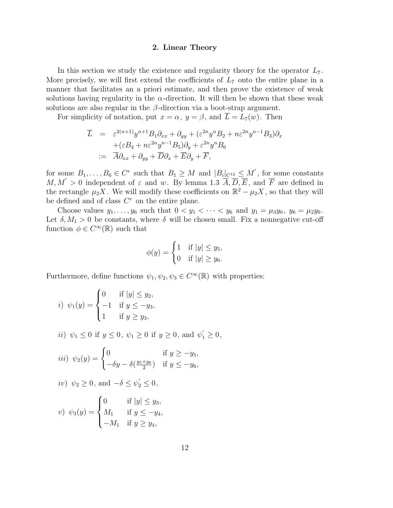### 2. Linear Theory

In this section we study the existence and regularity theory for the operator  $L_7$ . More precisely, we will first extend the coefficients of  $L<sub>7</sub>$  onto the entire plane in a manner that facilitates an a priori estimate, and then prove the existence of weak solutions having regularity in the  $\alpha$ -direction. It will then be shown that these weak solutions are also regular in the  $\beta$ -direction via a boot-strap argument.

For simplicity of notation, put  $x = \alpha$ ,  $y = \beta$ , and  $\overline{L} = L_7(w)$ . Then

$$
\overline{L} = \varepsilon^{2(n+1)} y^{n+1} B_1 \partial_{xx} + \partial_{yy} + (\varepsilon^{2n} y^n B_2 + n\varepsilon^{2n} y^{n-1} B_3) \partial_x
$$
  
+ (\varepsilon B\_4 + n\varepsilon^{2n} y^{n-1} B\_5) \partial\_y + \varepsilon^{2n} y^n B\_6  
:=  $\overline{A} \partial_{xx} + \partial_{yy} + \overline{D} \partial_x + \overline{E} \partial_y + \overline{F}$ ,

for some  $B_1, \ldots, B_6 \in \mathbb{C}^r$  such that  $B_1 \geq M$  and  $|B_i|_{C^{12}} \leq M'$ , for some constants  $M, M' > 0$  independent of  $\varepsilon$  and w. By lemma 1.3  $\overline{A}, \overline{D}, \overline{E}$ , and  $\overline{F}$  are defined in the rectangle  $\mu_2 X$ . We will modify these coefficients on  $\mathbb{R}^2 - \mu_2 X$ , so that they will be defined and of class  $C<sup>r</sup>$  on the entire plane.

Choose values  $y_1, \ldots, y_6$  such that  $0 < y_1 < \cdots < y_6$  and  $y_1 = \mu_3 y_0, y_6 = \mu_2 y_0$ . Let  $\delta, M_1 > 0$  be constants, where  $\delta$  will be chosen small. Fix a nonnegative cut-off function  $\phi \in C^{\infty}(\mathbb{R})$  such that

$$
\phi(y) = \begin{cases} 1 & \text{if } |y| \le y_5, \\ 0 & \text{if } |y| \ge y_6. \end{cases}
$$

Furthermore, define functions  $\psi_1, \psi_2, \psi_3 \in C^{\infty}(\mathbb{R})$  with properties:

*i*) 
$$
\psi_1(y) = \begin{cases} 0 & \text{if } |y| \le y_2, \\ -1 & \text{if } y \le -y_3, \\ 1 & \text{if } y \ge y_3, \end{cases}
$$

*ii*)  $\psi_1 \le 0$  if  $y \le 0$ ,  $\psi_1 \ge 0$  if  $y \ge 0$ , and  $\psi'_1 \ge 0$ ,

$$
iii) \psi_2(y) = \begin{cases} 0 & \text{if } y \ge -y_5, \\ -\delta y - \delta(\frac{y_5 + y_6}{2}) & \text{if } y \le -y_6, \end{cases}
$$

$$
iv) \psi_2 \ge 0, \text{ and } -\delta \le \psi_2' \le 0,
$$

v) 
$$
\psi_3(y) = \begin{cases} 0 & \text{if } |y| \leq y_3, \\ M_1 & \text{if } y \leq -y_4, \\ -M_1 & \text{if } y \geq y_4, \end{cases}
$$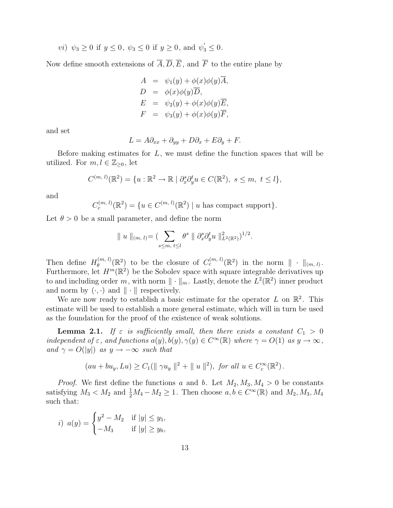*vi*) 
$$
\psi_3 \ge 0
$$
 if  $y \le 0$ ,  $\psi_3 \le 0$  if  $y \ge 0$ , and  $\psi'_3 \le 0$ .

Now define smooth extensions of  $\overline{A}$ ,  $\overline{D}$ ,  $\overline{E}$ , and  $\overline{F}$  to the entire plane by

$$
A = \psi_1(y) + \phi(x)\phi(y)\overline{A},
$$
  
\n
$$
D = \phi(x)\phi(y)\overline{D},
$$
  
\n
$$
E = \psi_2(y) + \phi(x)\phi(y)\overline{E},
$$
  
\n
$$
F = \psi_3(y) + \phi(x)\phi(y)\overline{F},
$$

and set

$$
L = A\partial_{xx} + \partial_{yy} + D\partial_x + E\partial_y + F.
$$

Before making estimates for  $L$ , we must define the function spaces that will be utilized. For  $m, l \in \mathbb{Z}_{\geq 0}$ , let

$$
C^{(m, l)}(\mathbb{R}^2) = \{u : \mathbb{R}^2 \to \mathbb{R} \mid \partial_x^s \partial_y^t u \in C(\mathbb{R}^2), \ s \le m, \ t \le l\},\
$$

and

 $C_c^{(m, l)}(\mathbb{R}^2) = \{u \in C^{(m, l)}(\mathbb{R}^2) \mid u \text{ has compact support}\}.$ 

Let  $\theta > 0$  be a small parameter, and define the norm

$$
\| u \|_{(m, l)} = \left( \sum_{s \leq m, t \leq l} \theta^s \|\partial_x^s \partial_y^t u\|_{L^2(\mathbb{R}^2)}^2 \right)^{1/2}.
$$

Then define  $H_{\theta}^{(m, l)}$  $\mathcal{C}_{\theta}^{(m,\,l)}(\mathbb{R}^2)$  to be the closure of  $C_c^{(m,\,l)}(\mathbb{R}^2)$  in the norm  $\|\,\cdot\,\|_{(m,\,l)}$ . Furthermore, let  $H^m(\mathbb{R}^2)$  be the Sobolev space with square integrable derivatives up to and including order m, with norm  $\|\cdot\|_m$ . Lastly, denote the  $L^2(\mathbb{R}^2)$  inner product and norm by  $(\cdot, \cdot)$  and  $\|\cdot\|$  respectively.

We are now ready to establish a basic estimate for the operator  $L$  on  $\mathbb{R}^2$ . This estimate will be used to establish a more general estimate, which will in turn be used as the foundation for the proof of the existence of weak solutions.

**Lemma 2.1.** If  $\varepsilon$  is sufficiently small, then there exists a constant  $C_1 > 0$ independent of  $\varepsilon$ , and functions  $a(y), b(y), \gamma(y) \in C^{\infty}(\mathbb{R})$  where  $\gamma = O(1)$  as  $y \to \infty$ , and  $\gamma = O(|y|)$  as  $y \to -\infty$  such that

$$
(au + bu_y, Lu) \ge C_1(||\gamma u_y||^2 + ||u||^2), \text{ for all } u \in C_c^{\infty}(\mathbb{R}^2).
$$

*Proof.* We first define the functions a and b. Let  $M_2, M_3, M_4 > 0$  be constants satisfying  $M_3 < M_2$  and  $\frac{1}{2}M_4 - M_2 \ge 1$ . Then choose  $a, b \in C^{\infty}(\mathbb{R})$  and  $M_2, M_3, M_4$ such that:

*i*) 
$$
a(y) = \begin{cases} y^2 - M_2 & \text{if } |y| \le y_5, \\ -M_3 & \text{if } |y| \ge y_6, \end{cases}
$$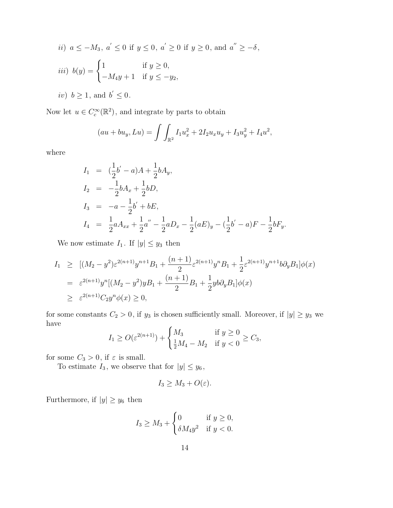*ii*) 
$$
a \le -M_3
$$
,  $a' \le 0$  if  $y \le 0$ ,  $a' \ge 0$  if  $y \ge 0$ , and  $a'' \ge -\delta$ ,  
\n*iii*)  $b(y) =\begin{cases} 1 & \text{if } y \ge 0, \\ -M_4y + 1 & \text{if } y \le -y_2, \end{cases}$   
\n*iv*)  $b \ge 1$ , and  $b' \le 0$ .

Now let  $u \in C_c^{\infty}(\mathbb{R}^2)$ , and integrate by parts to obtain

$$
(au + bu_y, Lu) = \int \int_{\mathbb{R}^2} I_1 u_x^2 + 2I_2 u_x u_y + I_3 u_y^2 + I_4 u^2,
$$

where

$$
I_1 = (\frac{1}{2}b' - a)A + \frac{1}{2}bA_y,
$$
  
\n
$$
I_2 = -\frac{1}{2}bA_x + \frac{1}{2}bD,
$$
  
\n
$$
I_3 = -a - \frac{1}{2}b' + bE,
$$
  
\n
$$
I_4 = \frac{1}{2}aA_{xx} + \frac{1}{2}a'' - \frac{1}{2}aD_x - \frac{1}{2}(aE)_y - (\frac{1}{2}b' - a)F - \frac{1}{2}bF_y.
$$

We now estimate  $I_1$ . If  $|y| \leq y_3$  then

$$
I_1 \geq [(M_2 - y^2)\varepsilon^{2(n+1)}y^{n+1}B_1 + \frac{(n+1)}{2}\varepsilon^{2(n+1)}y^nB_1 + \frac{1}{2}\varepsilon^{2(n+1)}y^{n+1}b\partial_y B_1]\phi(x)
$$
  
=  $\varepsilon^{2(n+1)}y^n[(M_2 - y^2)yB_1 + \frac{(n+1)}{2}B_1 + \frac{1}{2}yb\partial_y B_1]\phi(x)$   
 $\geq \varepsilon^{2(n+1)}C_2y^n\phi(x) \geq 0,$ 

for some constants  $C_2 > 0$ , if  $y_3$  is chosen sufficiently small. Moreover, if  $|y| \ge y_3$  we have

$$
I_1 \ge O(\varepsilon^{2(n+1)}) + \begin{cases} M_3 & \text{if } y \ge 0 \\ \frac{1}{2}M_4 - M_2 & \text{if } y < 0 \end{cases} \ge C_3,
$$

for some  $C_3>0,$  if  $\varepsilon$  is small.

To estimate  $I_3$ , we observe that for  $|y| \leq y_6$ ,

$$
I_3 \geq M_3 + O(\varepsilon).
$$

Furthermore, if  $|y|\geq y_6$  then

$$
I_3 \ge M_3 + \begin{cases} 0 & \text{if } y \ge 0, \\ \delta M_4 y^2 & \text{if } y < 0. \end{cases}
$$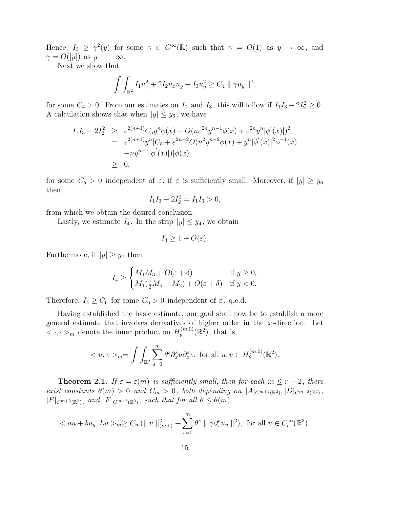Hence,  $I_3 \geq \gamma^2(y)$  for some  $\gamma \in C^{\infty}(\mathbb{R})$  such that  $\gamma = O(1)$  as  $y \to \infty$ , and  $\gamma = O(|y|)$  as  $y \to -\infty$ .

Next we show that

$$
\int \int_{\mathbb{R}^2} I_1 u_x^2 + 2I_2 u_x u_y + I_3 u_y^2 \ge C_4 \| \gamma u_y \|^2,
$$

for some  $C_4 > 0$ . From our estimates on  $I_1$  and  $I_3$ , this will follow if  $I_1I_3 - 2I_2^2 \ge 0$ . A calculation shows that when  $|y| \leq y_6$ , we have

$$
I_1 I_3 - 2I_2^2 \geq \varepsilon^{2(n+1)} C_5 y^n \phi(x) + O(n\varepsilon^{2n} y^{n-1} \phi(x) + \varepsilon^{2n} y^n |\phi'(x)|)^2
$$
  
=  $\varepsilon^{2(n+1)} y^n [C_5 + \varepsilon^{2n-2} O(n^2 y^{n-2} \phi(x) + y^n |\phi'(x)|^2 \phi^{-1}(x))$   
+  $ny^{n-1} |\phi'(x)| |\phi(x)|$   
 $\geq 0,$ 

for some  $C_5 > 0$  independent of  $\varepsilon$ , if  $\varepsilon$  is sufficiently small. Moreover, if  $|y| \geq y_6$ then

$$
I_1I_3 - 2I_2^2 = I_1I_3 > 0,
$$

from which we obtain the desired conclusion.

Lastly, we estimate  $I_4$ . In the strip  $|y| \leq y_4$ , we obtain

$$
I_4 \geq 1 + O(\varepsilon).
$$

Furthermore, if  $|y| \geq y_4$  then

$$
I_4 \ge \begin{cases} M_1 M_3 + O(\varepsilon + \delta) & \text{if } y \ge 0, \\ M_1(\frac{1}{2}M_4 - M_2) + O(\varepsilon + \delta) & \text{if } y < 0. \end{cases}
$$

Therefore,  $I_4 \geq C_6$  for some  $C_6 > 0$  independent of  $\varepsilon$ . q.e.d.

Having established the basic estimate, our goal shall now be to establish a more general estimate that involves derivatives of higher order in the  $x$ -direction. Let  $\langle \cdot, \cdot \rangle_m$  denote the inner product on  $H_{\theta}^{(m,0)}$  $\theta^{(m,0)}(\mathbb{R}^2)$ , that is,

$$
\langle u, v \rangle_{m} = \int \int_{\mathbb{R}^2} \sum_{s=0}^m \theta^s \partial_x^s u \partial_x^s v, \text{ for all } u, v \in H_{\theta}^{(m,0)}(\mathbb{R}^2).
$$

**Theorem 2.1.** If  $\varepsilon = \varepsilon(m)$  is sufficiently small, then for each  $m \le r - 2$ , there exist constants  $\theta(m) > 0$  and  $C_m > 0$ , both depending on  $|A|_{C^{m+2}(\mathbb{R}^2)}, |D|_{C^{m+2}(\mathbb{R}^2)},$  $|E|_{C^{m+2}(\mathbb{R}^2)}$ , and  $|F|_{C^{m+2}(\mathbb{R}^2)}$ , such that for all  $\theta \leq \theta(m)$ 

$$
_m \ge C_m(||u||^2_{(m,0)} + \sum_{s=0}^m \theta^s ||\gamma \partial_x^s u_y||^2),
$$
 for all  $u \in C_c^{\infty}(\mathbb{R}^2)$ .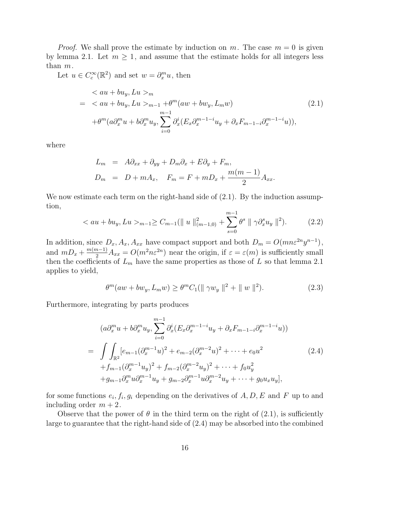*Proof.* We shall prove the estimate by induction on m. The case  $m = 0$  is given by lemma 2.1. Let  $m \geq 1$ , and assume that the estimate holds for all integers less than m.

Let  $u \in C_c^{\infty}(\mathbb{R}^2)$  and set  $w = \partial_x^m u$ , then

$$
\langle au + bu_y, Lu \rangle_m
$$
  
=  $\langle au + bu_y, Lu \rangle_{m-1} + \theta^m(aw + bw_y, L_m w)$   

$$
+ \theta^m(a\partial_x^m u + b\partial_x^m u_y, \sum_{i=0}^{m-1} \partial_x^i (E_x \partial_x^{m-1-i} u_y + \partial_x F_{m-1-i} \partial_x^{m-1-i} u)),
$$
 (2.1)

where

$$
L_m = A\partial_{xx} + \partial_{yy} + D_m\partial_x + E\partial_y + F_m,
$$
  

$$
D_m = D + mA_x, \quad F_m = F + mD_x + \frac{m(m-1)}{2}A_{xx}.
$$

We now estimate each term on the right-hand side of  $(2.1)$ . By the induction assumption,

$$
\langle au + bu_y, Lu \rangle_{m-1} \ge C_{m-1}(\|u\|_{(m-1,0)}^2 + \sum_{s=0}^{m-1} \theta^s \|\gamma \partial_x^s u_y\|^2). \tag{2.2}
$$

In addition, since  $D_x$ ,  $A_x$ ,  $A_{xx}$  have compact support and both  $D_m = O(mn\varepsilon^{2n}y^{n-1})$ , and  $mD_x + \frac{m(m-1)}{2}A_{xx} = O(m^2n\varepsilon^{2n})$  near the origin, if  $\varepsilon = \varepsilon(m)$  is sufficiently small then the coefficients of  $L_m$  have the same properties as those of L so that lemma 2.1 applies to yield,

$$
\theta^{m}(aw + bw_y, L_m w) \ge \theta^{m} C_1(\|\gamma w_y\|^2 + \|w\|^2). \tag{2.3}
$$

Furthermore, integrating by parts produces

$$
(a\partial_x^m u + b\partial_x^m u_y, \sum_{i=0}^{m-1} \partial_x^i (E_x \partial_x^{m-1-i} u_y + \partial_x F_{m-1-i} \partial_x^{m-1-i} u))
$$
  
= 
$$
\int \int_{\mathbb{R}^2} [e_{m-1} (\partial_x^{m-1} u)^2 + e_{m-2} (\partial_x^{m-2} u)^2 + \dots + e_0 u^2
$$
  
+ 
$$
f_{m-1} (\partial_x^{m-1} u_y)^2 + f_{m-2} (\partial_x^{m-2} u_y)^2 + \dots + f_0 u_y^2
$$
  
+ 
$$
g_{m-1} \partial_x^m u \partial_x^{m-1} u_y + g_{m-2} \partial_x^{m-1} u \partial_x^{m-2} u_y + \dots + g_0 u_x u_y],
$$
 (2.4)

for some functions  $e_i, f_i, g_i$  depending on the derivatives of  $A, D, E$  and F up to and including order  $m + 2$ .

Observe that the power of  $\theta$  in the third term on the right of (2.1), is sufficiently large to guarantee that the right-hand side of (2.4) may be absorbed into the combined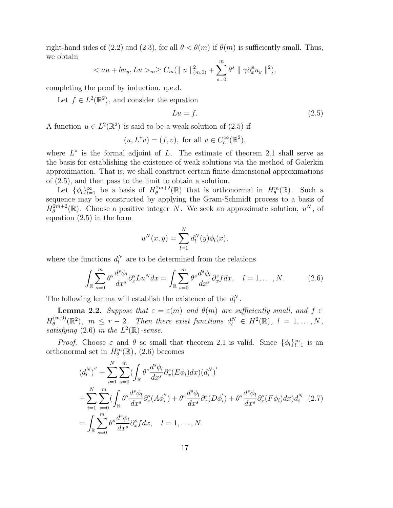right-hand sides of (2.2) and (2.3), for all  $\theta < \theta(m)$  if  $\theta(m)$  is sufficiently small. Thus, we obtain

$$
\langle au + bu_y, Lu \rangle_{m} \ge C_m(||u||_{(m,0)}^2 + \sum_{s=0}^{m} \theta^s ||\gamma \partial_x^s u_y ||^2),
$$

completing the proof by induction. q.e.d.

Let  $f \in L^2(\mathbb{R}^2)$ , and consider the equation

$$
Lu = f.\tag{2.5}
$$

A function  $u \in L^2(\mathbb{R}^2)$  is said to be a weak solution of (2.5) if

$$
(u, L^*v) = (f, v), \text{ for all } v \in C_c^{\infty}(\mathbb{R}^2),
$$

where  $L^*$  is the formal adjoint of L. The estimate of theorem 2.1 shall serve as the basis for establishing the existence of weak solutions via the method of Galerkin approximation. That is, we shall construct certain finite-dimensional approximations of (2.5), and then pass to the limit to obtain a solution.

Let  $\{\phi_l\}_{l=1}^{\infty}$  be a basis of  $H_{\theta}^{2m+2}$  $e^{\frac{2m+2}{\theta}}(\mathbb{R})$  that is orthonormal in  $H^m_{\theta}(\mathbb{R})$ . Such a sequence may be constructed by applying the Gram-Schmidt process to a basis of  $H_{\theta}^{2m+2}$  $e^{\frac{2m+2}{\theta}}(\mathbb{R})$ . Choose a positive integer N. We seek an approximate solution,  $u^N$ , of equation (2.5) in the form

$$
u^{N}(x, y) = \sum_{l=1}^{N} d_{l}^{N}(y) \phi_{l}(x),
$$

where the functions  $d_l^N$  are to be determined from the relations

$$
\int_{\mathbb{R}} \sum_{s=0}^{m} \theta^{s} \frac{d^{s} \phi_{l}}{dx^{s}} \partial_{x}^{s} L u^{N} dx = \int_{\mathbb{R}} \sum_{s=0}^{m} \theta^{s} \frac{d^{s} \phi_{l}}{dx^{s}} \partial_{x}^{s} f dx, \quad l = 1, ..., N.
$$
 (2.6)

The following lemma will establish the existence of the  $d_l^N$ .

**Lemma 2.2.** Suppose that  $\varepsilon = \varepsilon(m)$  and  $\theta(m)$  are sufficiently small, and  $f \in$  $H_{\theta}^{(m,0)}$  $\mathcal{H}_{\theta}^{(m,0)}(\mathbb{R}^2)$ ,  $m \leq r-2$ . Then there exist functions  $d_l^N \in H^2(\mathbb{R})$ ,  $l = 1, ..., N$ , satisfying (2.6) in the  $L^2(\mathbb{R})$ -sense.

*Proof.* Choose  $\varepsilon$  and  $\theta$  so small that theorem 2.1 is valid. Since  $\{\phi_l\}_{l=1}^{\infty}$  is an orthonormal set in  $H^m_{\theta}(\mathbb{R})$ , (2.6) becomes

$$
(d_l^N)'' + \sum_{i=1}^N \sum_{s=0}^m (\int_{\mathbb{R}} \theta^s \frac{d^s \phi_l}{dx^s} \partial_x^s (E\phi_i) dx) (d_i^N)'
$$
  
+ 
$$
\sum_{i=1}^N \sum_{s=0}^m (\int_{\mathbb{R}} \theta^s \frac{d^s \phi_l}{dx^s} \partial_x^s (A\phi_i'') + \theta^s \frac{d^s \phi_l}{dx^s} \partial_x^s (D\phi_i') + \theta^s \frac{d^s \phi_l}{dx^s} \partial_x^s (F\phi_i) dx) d_i^N
$$
(2.7)  
= 
$$
\int_{\mathbb{R}} \sum_{s=0}^m \theta^s \frac{d^s \phi_l}{dx^s} \partial_x^s f dx, \quad l = 1, ..., N.
$$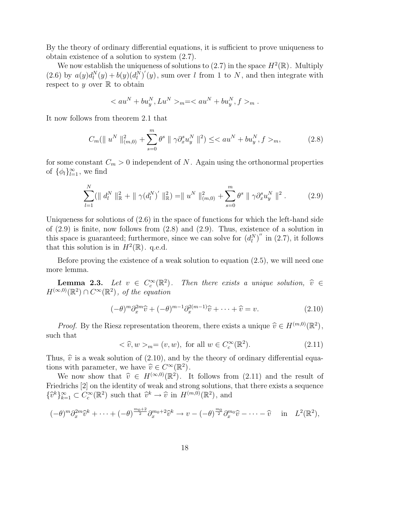By the theory of ordinary differential equations, it is sufficient to prove uniqueness to obtain existence of a solution to system (2.7).

We now establish the uniqueness of solutions to  $(2.7)$  in the space  $H^2(\mathbb{R})$ . Multiply (2.6) by  $a(y)d_l^N(y) + b(y)(d_l^N)'(y)$ , sum over l from 1 to N, and then integrate with respect to  $y$  over  $\mathbb R$  to obtain

$$
_{m} = _{m}
$$
.

It now follows from theorem 2.1 that

$$
C_m(\|u^N\|_{(m,0)}^2 + \sum_{s=0}^m \theta^s \|\gamma \partial_x^s u_y^N\|^2) \leq _m,
$$
\n(2.8)

for some constant  $C_m > 0$  independent of N. Again using the orthonormal properties of  $\{\phi_l\}_{l=1}^{\infty}$ , we find

$$
\sum_{l=1}^{N} (\parallel d_l^N \parallel_{\mathbb{R}}^2 + \parallel \gamma(d_l^N)' \parallel_{\mathbb{R}}^2) = \parallel u^N \parallel_{(m,0)}^2 + \sum_{s=0}^{m} \theta^s \parallel \gamma \partial_x^s u_y^N \parallel^2.
$$
 (2.9)

Uniqueness for solutions of  $(2.6)$  in the space of functions for which the left-hand side of  $(2.9)$  is finite, now follows from  $(2.8)$  and  $(2.9)$ . Thus, existence of a solution in this space is guaranteed; furthermore, since we can solve for  $(d_l^N)''$  in (2.7), it follows that this solution is in  $H^2(\mathbb{R})$ . q.e.d.

Before proving the existence of a weak solution to equation (2.5), we will need one more lemma.

Lemma 2.3. Let  $v \in C_c^{\infty}(\mathbb{R}^2)$ Then there exists a unique solution,  $\hat{v} \in$  $H^{(\infty,0)}(\mathbb{R}^2) \cap C^{\infty}(\mathbb{R}^2)$ , of the equation

$$
(-\theta)^m \partial_x^{2m} \widehat{v} + (-\theta)^{m-1} \partial_x^{2(m-1)} \widehat{v} + \dots + \widehat{v} = v.
$$
 (2.10)

*Proof.* By the Riesz representation theorem, there exists a unique  $\hat{v} \in H^{(m,0)}(\mathbb{R}^2)$ , such that

$$
\langle \hat{v}, w \rangle_m = (v, w), \text{ for all } w \in C_c^{\infty}(\mathbb{R}^2). \tag{2.11}
$$

Thus,  $\hat{v}$  is a weak solution of (2.10), and by the theory of ordinary differential equations with parameter, we have  $\widehat{v} \in C^{\infty}(\mathbb{R}^2)$ .<br>We now show that  $\widehat{x} \in H^{(\infty,0)}(\mathbb{R}^2)$ .

We now show that  $\hat{v} \in H^{(\infty,0)}(\mathbb{R}^2)$ . It follows from (2.11) and the result of variety of work and strong solutions, that there exists a sequence Friedrichs [2] on the identity of weak and strong solutions, that there exists a sequence  $\{\hat{v}^k\}_{k=1}^{\infty} \subset C_c^{\infty}(\mathbb{R}^2)$  such that  $\hat{v}^k \to \hat{v}$  in  $H^{(m,0)}(\mathbb{R}^2)$ , and

$$
(-\theta)^m \partial_x^{2m} \widehat{v}^k + \cdots + (-\theta)^{\frac{m_0+2}{2}} \partial_x^{m_0+2} \widehat{v}^k \to v - (-\theta)^{\frac{m_0}{2}} \partial_x^{m_0} \widehat{v} - \cdots - \widehat{v} \quad \text{in} \quad L^2(\mathbb{R}^2),
$$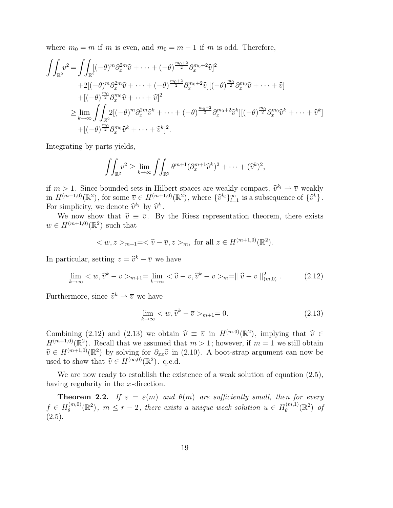where  $m_0 = m$  if m is even, and  $m_0 = m - 1$  if m is odd. Therefore,

$$
\iint_{\mathbb{R}^2} v^2 = \iint_{\mathbb{R}^2} [(-\theta)^m \partial_x^{2m} \hat{v} + \dots + (-\theta)^{\frac{m_0+2}{2}} \partial_x^{m_0+2} \hat{v}]^2
$$
  
+2[(-\theta)^m \partial\_x^{2m} \hat{v} + \dots + (-\theta)^{\frac{m\_0+2}{2}} \partial\_x^{m\_0+2} \hat{v}] [(-\theta)^{\frac{m\_0}{2}} \partial\_x^{m\_0} \hat{v} + \dots + \hat{v}]  
+[(-\theta)^{\frac{m\_0}{2}} \partial\_x^{m\_0} \hat{v} + \dots + \hat{v}]^2  
\geq \lim\_{k \to \infty} \iint\_{\mathbb{R}^2} 2[(-\theta)^m \partial\_x^{2m} \hat{v}^k + \dots + (-\theta)^{\frac{m\_0+2}{2}} \partial\_x^{m\_0+2} \hat{v}^k] [(-\theta)^{\frac{m\_0}{2}} \partial\_x^{m\_0} \hat{v}^k + \dots + \hat{v}^k]  
+[(-\theta)^{\frac{m\_0}{2}} \partial\_x^{m\_0} \hat{v}^k + \dots + \hat{v}^k]^2.

Integrating by parts yields,

$$
\iint_{\mathbb{R}^2} v^2 \ge \lim_{k \to \infty} \iint_{\mathbb{R}^2} \theta^{m+1} (\partial_x^{m+1} \widehat{v}^k)^2 + \dots + (\widehat{v}^k)^2,
$$

if  $m > 1$ . Since bounded sets in Hilbert spaces are weakly compact,  $\hat{v}^{k_l} \to \overline{v}$  weakly<br>in  $H^{(m+1,0)}(\mathbb{R}^2)$ , for some  $\overline{v} \in H^{(m+1,0)}(\mathbb{R}^2)$ , where  $\{\hat{v}^{k_l}\}_{l=1}^{\infty}$  is a subsequence of  $\{\hat{v}^k\}$ . if  $m > 1$ . Since bounded sets in Hilbert spaces are weakly compact,  $\hat{v}^{k_l} \rightarrow \overline{v}$  weakly For simplicity, we denote  $\hat{v}^{k_l}$  by  $\hat{v}^k$ .<br>We now show that  $\hat{v} = \overline{v}$  By

We now show that  $\hat{v} \equiv \overline{v}$ . By the Riesz representation theorem, there exists  $w \in H^{(m+1,0)}(\mathbb{R}^2)$  such that

$$
_{m+1}=<\hat{v}-\overline{v}, z>_{m}, \text{ for all } z \in H^{(m+1,0)}(\mathbb{R}^{2}).
$$

In particular, setting  $z = \hat{v}^k - \overline{v}$  we have

$$
\lim_{k \to \infty} \langle w, \widehat{v}^k - \overline{v} \rangle_{m+1} = \lim_{k \to \infty} \langle \widehat{v} - \overline{v}, \widehat{v}^k - \overline{v} \rangle_m = || \widehat{v} - \overline{v} ||_{(m,0)}^2. \tag{2.12}
$$

Furthermore, since  $\hat{v}^k \rightharpoonup \overline{v}$  we have

$$
\lim_{k \to \infty} \langle w, \hat{v}^k - \overline{v} \rangle_{m+1} = 0. \tag{2.13}
$$

Combining (2.12) and (2.13) we obtain  $\hat{v} \equiv \bar{v}$  in  $H^{(m,0)}(\mathbb{R}^2)$ , implying that  $\hat{v} \in H^{(m+1,0)}(\mathbb{R}^2)$ . Recall that we assumed that  $m > 1$ ; however if  $m = 1$  we still obtain  $H^{(m+1,0)}(\mathbb{R}^2)$ . Recall that we assumed that  $m>1$ ; however, if  $m=1$  we still obtain  $\widehat{v} \in H^{(m+1,0)}(\mathbb{R}^2)$  by solving for  $\partial_{xx}\widehat{v}$  in (2.10). A boot-strap argument can now be<br>used to show that  $\widehat{x} \in H^{(\infty,0)}(\mathbb{R}^2)$ , go d used to show that  $\hat{v} \in H^{(\infty,0)}(\mathbb{R}^2)$ . q.e.d.

We are now ready to establish the existence of a weak solution of equation  $(2.5)$ , having regularity in the x-direction.

**Theorem 2.2.** If  $\varepsilon = \varepsilon(m)$  and  $\theta(m)$  are sufficiently small, then for every  $f \in H_{\theta}^{(m,0)}$  $\mathcal{L}_{\theta}^{(m,0)}(\mathbb{R}^2)$ ,  $m \leq r-2$ , there exists a unique weak solution  $u \in H_{\theta}^{(m,1)}$  $\vartheta _{\theta }^{\left( m,1\right) }(\mathbb{R}^{2})$  of  $(2.5).$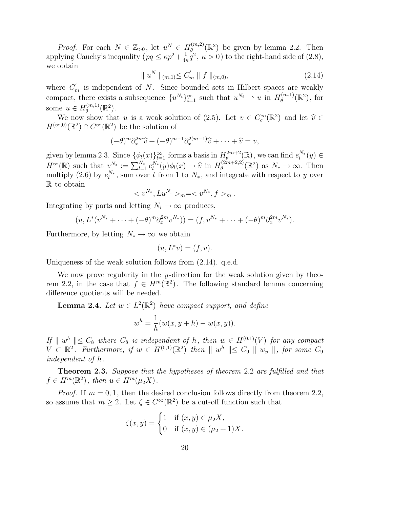*Proof.* For each  $N \in \mathbb{Z}_{>0}$ , let  $u^N \in H_{\theta}^{(m,2)}$  $\mathcal{L}_{\theta}^{(m,2)}(\mathbb{R}^2)$  be given by lemma 2.2. Then applying Cauchy's inequality  $(pq \leq \kappa p^2 + \frac{1}{4}$  $\frac{1}{4\kappa}q^2$ ,  $\kappa > 0$ ) to the right-hand side of (2.8), we obtain

$$
\|u^N\|_{(m,1)} \le C'_m \|f\|_{(m,0)},\tag{2.14}
$$

where  $C'_m$  is independent of N. Since bounded sets in Hilbert spaces are weakly compact, there exists a subsequence  $\{u^{N_i}\}_{i=1}^{\infty}$  such that  $u^{N_i} \to u$  in  $H_{\theta}^{(m,1)}$  $\theta^{(m,1)}_{\theta}(\mathbb{R}^2)$ , for some  $u \in H_{\theta}^{(m,1)}$  $\stackrel{(m,1)}{\theta}(\mathbb{R}^2)$  .

We now show that u is a weak solution of (2.5). Let  $v \in C_c^{\infty}(\mathbb{R}^2)$  and let  $\hat{v} \in$ <br> $\infty,0)$  ( $\mathbb{R}^2$ )  $\cap$   $C^{\infty}(\mathbb{R}^2)$  be the solution of  $H^{(\infty,0)}(\mathbb{R}^2) \cap C^{\infty}(\mathbb{R}^2)$  be the solution of

$$
(-\theta)^m \partial_x^{2m} \widehat{v} + (-\theta)^{m-1} \partial_x^{2(m-1)} \widehat{v} + \cdots + \widehat{v} = v,
$$

given by lemma 2.3. Since  $\{\phi_l(x)\}_{l=1}^{\infty}$  forms a basis in  $H_{\theta}^{2m+2}$  $e^{2m+2}_{\theta}(\mathbb{R})$ , we can find  $e^{N_*}_l(y) \in$  $H^{\infty}(\mathbb{R})$  such that  $v^{N_*} := \sum_{l=1}^{N_*} e_l^{N_*}(y) \phi_l(x) \to \hat{v}$  in  $H_{\theta}^{(2m+2,2)}$ <br>multiply (2.6) by  $e^{N_*}$  sum over l from 1 to N, and integral  $\mathcal{L}_{\theta}^{(2m+2,2)}(\mathbb{R}^2)$  as  $N_* \to \infty$ . Then multiply (2.6) by  $e_l^{N_*}$ , sum over l from 1 to  $N_*$ , and integrate with respect to y over R to obtain

$$
_{m} = _{m}.
$$

Integrating by parts and letting  $N_i \to \infty$  produces,

$$
(u, L^*(v^{N_*} + \dots + (-\theta)^m \partial_x^{2m} v^{N_*})) = (f, v^{N_*} + \dots + (-\theta)^m \partial_x^{2m} v^{N_*}).
$$

Furthermore, by letting  $N_* \to \infty$  we obtain

$$
(u, L^*v) = (f, v).
$$

Uniqueness of the weak solution follows from (2.14). q.e.d.

We now prove regularity in the y-direction for the weak solution given by theorem 2.2, in the case that  $f \in H^m(\mathbb{R}^2)$ . The following standard lemma concerning difference quotients will be needed.

**Lemma 2.4.** Let  $w \in L^2(\mathbb{R}^2)$  have compact support, and define

$$
w^{h} = \frac{1}{h}(w(x, y + h) - w(x, y)).
$$

If  $\parallel w^h \parallel \leq C_8$  where  $C_8$  is independent of h, then  $w \in H^{(0,1)}(V)$  for any compact  $V \subset \mathbb{R}^2$ . Furthermore, if  $w \in H^{(0,1)}(\mathbb{R}^2)$  then  $\|w^h\| \leq C_9 \|\wedge w_y\|$ , for some  $C_9$ independent of h.

**Theorem 2.3.** Suppose that the hypotheses of theorem 2.2 are fulfilled and that  $f \in H^m(\mathbb{R}^2)$ , then  $u \in H^m(\mu_2 X)$ .

*Proof.* If  $m = 0, 1$ , then the desired conclusion follows directly from theorem 2.2, so assume that  $m \geq 2$ . Let  $\zeta \in C^{\infty}(\mathbb{R}^2)$  be a cut-off function such that

$$
\zeta(x, y) = \begin{cases} 1 & \text{if } (x, y) \in \mu_2 X, \\ 0 & \text{if } (x, y) \in (\mu_2 + 1)X. \end{cases}
$$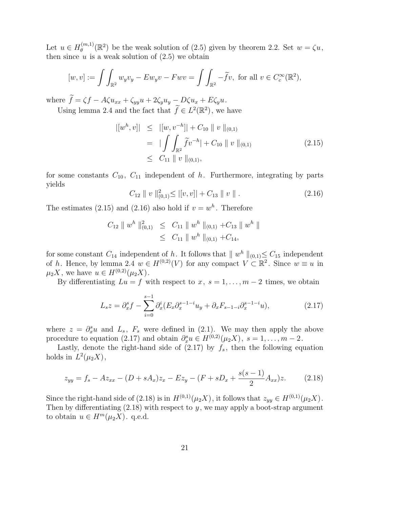Let  $u \in H_{\theta}^{(m,1)}$  $\mathcal{L}_{\theta}^{(m,1)}(\mathbb{R}^2)$  be the weak solution of (2.5) given by theorem 2.2. Set  $w = \zeta u$ , then since  $u$  is a weak solution of  $(2.5)$  we obtain

$$
[w, v] := \int \int_{\mathbb{R}^2} w_y v_y - E w_y v - F w v = \int \int_{\mathbb{R}^2} -\widetilde{f} v, \text{ for all } v \in C_c^{\infty}(\mathbb{R}^2),
$$

where  $\tilde{f} = \zeta f - A\zeta u_{xx} + \zeta_{yy}u + 2\zeta_y u_y - D\zeta u_x + E\zeta_y u$ .

Using lemma 2.4 and the fact that  $\tilde{f} \in L^2(\mathbb{R}^2)$ , we have

$$
\begin{aligned} |[w^h, v]| &\leq |[w, v^{-h}]| + C_{10} \parallel v \parallel_{(0,1)} \\ &= |\int \int_{\mathbb{R}^2} \widetilde{f} v^{-h}| + C_{10} \parallel v \parallel_{(0,1)} \\ &\leq C_{11} \parallel v \parallel_{(0,1)}, \end{aligned} \tag{2.15}
$$

for some constants  $C_{10}$ ,  $C_{11}$  independent of h. Furthermore, integrating by parts yields

$$
C_{12} \parallel v \parallel_{(0,1)}^{2} \le |[v,v]| + C_{13} \parallel v \parallel.
$$
 (2.16)

The estimates (2.15) and (2.16) also hold if  $v = w<sup>h</sup>$ . Therefore

$$
C_{12} \| w^h \|_{(0,1)}^2 \leq C_{11} \| w^h \|_{(0,1)} + C_{13} \| w^h \|
$$
  

$$
\leq C_{11} \| w^h \|_{(0,1)} + C_{14},
$$

for some constant  $C_{14}$  independent of h. It follows that  $\| w^h \|_{(0,1)} \leq C_{15}$  independent of h. Hence, by lemma 2.4  $w \in H^{(0,2)}(V)$  for any compact  $V \subset \mathbb{R}^2$ . Since  $w \equiv u$  in  $\mu_2 X$ , we have  $u \in H^{(0,2)}(\mu_2 X)$ .

By differentiating  $Lu = f$  with respect to  $x, s = 1, \ldots, m-2$  times, we obtain

$$
L_s z = \partial_x^s f - \sum_{i=0}^{s-1} \partial_x^i (E_x \partial_x^{s-1-i} u_y + \partial_x F_{s-1-i} \partial_x^{s-1-i} u), \tag{2.17}
$$

where  $z = \partial_x^s u$  and  $L_s$ ,  $F_s$  were defined in (2.1). We may then apply the above procedure to equation (2.17) and obtain  $\partial_x^s u \in H^{(0,2)}(\mu_2 X)$ ,  $s = 1, \ldots, m-2$ .

Lastly, denote the right-hand side of  $(2.17)$  by  $f_s$ , then the following equation holds in  $L^2(\mu_2 X)$ ,

$$
z_{yy} = f_s - Az_{xx} - (D + sA_x)z_x - Ez_y - (F + sD_x + \frac{s(s-1)}{2}A_{xx})z.
$$
 (2.18)

Since the right-hand side of (2.18) is in  $H^{(0,1)}(\mu_2 X)$ , it follows that  $z_{yy} \in H^{(0,1)}(\mu_2 X)$ . Then by differentiating  $(2.18)$  with respect to y, we may apply a boot-strap argument to obtain  $u \in H^m(\mu_2 X)$ . q.e.d.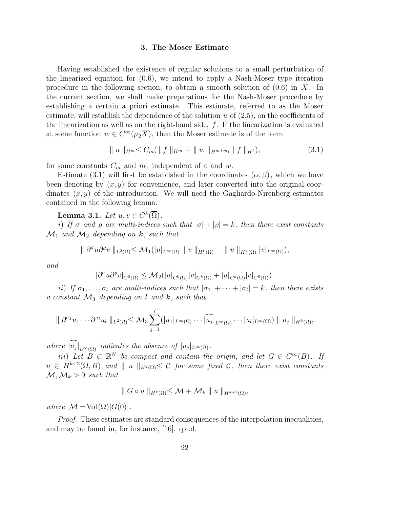### 3. The Moser Estimate

Having established the existence of regular solutions to a small perturbation of the linearized equation for (0.6), we intend to apply a Nash-Moser type iteration procedure in the following section, to obtain a smooth solution of  $(0.6)$  in X. In the current section, we shall make preparations for the Nash-Moser procedure by establishing a certain a priori estimate. This estimate, referred to as the Moser estimate, will establish the dependence of the solution  $u$  of  $(2.5)$ , on the coefficients of the linearization as well as on the right-hand side,  $f$ . If the linearization is evaluated at some function  $w \in C^{\infty}(\mu_2\overline{X})$ , then the Moser estimate is of the form

$$
\| u \|_{H^m} \leq C_m (\| f \|_{H^m} + \| w \|_{H^{m+m_1}} \| f \|_{H^2}), \tag{3.1}
$$

for some constants  $C_m$  and  $m_1$  independent of  $\varepsilon$  and w.

Estimate (3.1) will first be established in the coordinates  $(\alpha, \beta)$ , which we have been denoting by  $(x, y)$  for convenience, and later converted into the original coordinates  $(x, y)$  of the introduction. We will need the Gagliardo-Nirenberg estimates contained in the following lemma.

**Lemma 3.1.** Let  $u, v \in C^k(\overline{\Omega})$ .

i) If  $\sigma$  and  $\rho$  are multi-indices such that  $|\sigma| + |\rho| = k$ , then there exist constants  $\mathcal{M}_1$  and  $\mathcal{M}_2$  depending on k, such that

$$
\|\partial^{\sigma}u\partial^{\varrho}v\|_{L^{2}(\Omega)}\leq\mathcal{M}_{1}(|u|_{L^{\infty}(\Omega)}\parallel v\parallel_{H^{k}(\Omega)}+\parallel u\parallel_{H^{k}(\Omega)}|v|_{L^{\infty}(\Omega)}),
$$

and

$$
|\partial^{\sigma}u\partial^{\varrho}v|_{C^{0}(\overline{\Omega})}\leq \mathcal{M}_2(|u|_{C^{0}(\overline{\Omega})}|v|_{C^{k}(\overline{\Omega})}+|u|_{C^{k}(\overline{\Omega})}|v|_{C^{0}(\overline{\Omega})}).
$$

ii) If  $\sigma_1, \ldots, \sigma_l$  are multi-indices such that  $|\sigma_1| + \cdots + |\sigma_l| = k$ , then there exists a constant  $\mathcal{M}_3$  depending on l and k, such that

$$
\|\partial^{\sigma_1} u_1 \cdots \partial^{\sigma_l} u_l\|_{L^2(\Omega)} \leq \mathcal{M}_3 \sum_{j=1}^l (|u_1|_{L^{\infty}(\Omega)} \cdots \widehat{|u_j|}_{L^{\infty}(\Omega)} \cdots |u_l|_{L^{\infty}(\Omega)}) \|u_j\|_{H^k(\Omega)},
$$

where  $|u_j|_{L^{\infty}(\Omega)}$  indicates the absence of  $|u_j|_{L^{\infty}(\Omega)}$ .

iii) Let  $B \subset \mathbb{R}^N$  be compact and contain the origin, and let  $G \in C^{\infty}(B)$ . If  $u \in H^{k+2}(\Omega, B)$  and  $||u||_{H^2(\Omega)} \leq C$  for some fixed C, then there exist constants  $\mathcal{M}, \mathcal{M}_k > 0$  such that

$$
\| G \circ u \|_{H^k(\Omega)} \leq \mathcal{M} + \mathcal{M}_k \| u \|_{H^{k+2}(\Omega)},
$$

where  $\mathcal{M} = Vol(\Omega) |G(0)|$ .

Proof. These estimates are standard consequences of the interpolation inequalities, and may be found in, for instance, [16]. q.e.d.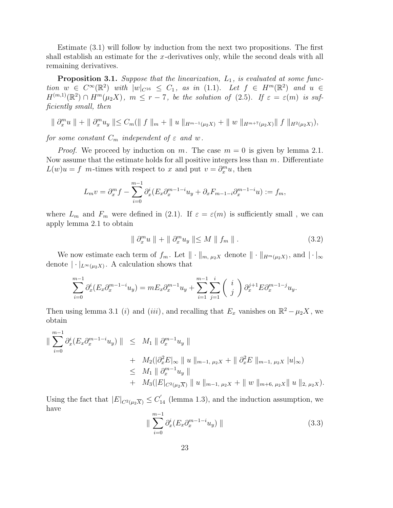Estimate (3.1) will follow by induction from the next two propositions. The first shall establish an estimate for the x-derivatives only, while the second deals with all remaining derivatives.

**Proposition 3.1.** Suppose that the linearization,  $L_1$ , is evaluated at some function  $w \in C^{\infty}(\mathbb{R}^2)$  with  $|w|_{C^{16}} \leq C_1$ , as in (1.1). Let  $f \in H^m(\mathbb{R}^2)$  and  $u \in$  $H^{(m,1)}(\mathbb{R}^2) \cap H^m(\mu_2X), m \leq r-7$ , be the solution of (2.5). If  $\varepsilon = \varepsilon(m)$  is sufficiently small, then

$$
\| \partial_x^m u \| + \| \partial_x^m u_y \| \leq C_m (\| f \|_m + \| u \|_{H^{m-1}(\mu_2 X)} + \| w \|_{H^{m+7}(\mu_2 X)} \| f \|_{H^2(\mu_2 X)}),
$$

for some constant  $C_m$  independent of  $\varepsilon$  and w.

*Proof.* We proceed by induction on m. The case  $m = 0$  is given by lemma 2.1. Now assume that the estimate holds for all positive integers less than  $m$ . Differentiate  $L(w)u = f$  m-times with respect to x and put  $v = \partial_x^m u$ , then

$$
L_m v = \partial_x^m f - \sum_{i=0}^{m-1} \partial_x^i (E_x \partial_x^{m-1-i} u_y + \partial_x F_{m-1-i} \partial_x^{m-1-i} u) := f_m,
$$

where  $L_m$  and  $F_m$  were defined in (2.1). If  $\varepsilon = \varepsilon(m)$  is sufficiently small, we can apply lemma 2.1 to obtain

$$
\| \partial_x^m u \| + \| \partial_x^m u_y \| \le M \| f_m \| . \tag{3.2}
$$

We now estimate each term of  $f_m$ . Let  $\|\cdot\|_{m, \mu_2}$  denote  $\|\cdot\|_{H^m(\mu_2X)}$ , and  $|\cdot|_{\infty}$ denote  $|\cdot|_{L^{\infty}(\mu_2 X)}$ . A calculation shows that

$$
\sum_{i=0}^{m-1} \partial_x^i (E_x \partial_x^{m-1-i} u_y) = m E_x \partial_x^{m-1} u_y + \sum_{i=1}^{m-1} \sum_{j=1}^i \binom{i}{j} \partial_x^{j+1} E \partial_x^{m-1-j} u_y.
$$

Then using lemma 3.1 (i) and (iii), and recalling that  $E_x$  vanishes on  $\mathbb{R}^2 - \mu_2 X$ , we obtain

$$
\|\sum_{i=0}^{m-1} \partial_x^i (E_x \partial_x^{m-1-i} u_y) \| \leq M_1 \|\partial_x^{m-1} u_y \| + M_2 (|\partial_x^2 E_{\infty} \| u \|_{m-1, \mu_2 X} + \|\partial_x^2 E \|_{m-1, \mu_2 X} |u|_{\infty}) \leq M_1 \|\partial_x^{m-1} u_y \| + M_3 (|E|_{C^2(\mu_2 \overline{X})} \| u \|_{m-1, \mu_2 X} + \| w \|_{m+6, \mu_2 X} \| u \|_{2, \mu_2 X}).
$$

Using the fact that  $|E|_{C^2(\mu_2 \overline{X})} \leq C'_{14}$  (lemma 1.3), and the induction assumption, we have

$$
\| \sum_{i=0}^{m-1} \partial_x^i (E_x \partial_x^{m-1-i} u_y) \| \tag{3.3}
$$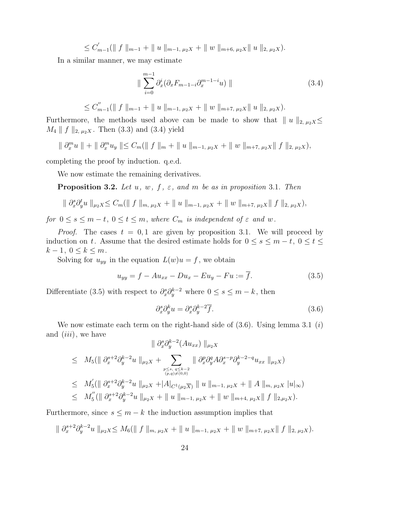$\leq C'_r$  $\|f_{m-1}(\|f\|_{m-1} + \|u\|_{m-1, \mu_2 X} + \|w\|_{m+6, \mu_2 X}\|u\|_{2, \mu_2 X}).$ 

In a similar manner, we may estimate

$$
\| \sum_{i=0}^{m-1} \partial_x^i (\partial_x F_{m-1-i} \partial_x^{m-1-i} u) \| \qquad (3.4)
$$

$$
\leq C''_{m-1}(\parallel f \parallel_{m-1} + \parallel u \parallel_{m-1, \mu_2 X} + \parallel w \parallel_{m+7, \mu_2 X} \parallel u \parallel_{2, \mu_2 X}).
$$

Furthermore, the methods used above can be made to show that  $||u||_{2, \mu_2 X} \le$  $M_4 \parallel f \parallel_{2, \mu_2 X}$ . Then (3.3) and (3.4) yield

$$
\| \partial_x^m u \| + \| \partial_x^m u_y \| \leq C_m (\| f \|_m + \| u \|_{m-1, \mu_2 X} + \| w \|_{m+7, \mu_2 X} \| f \|_{2, \mu_2 X}),
$$

completing the proof by induction. q.e.d.

We now estimate the remaining derivatives.

**Proposition 3.2.** Let  $u, w, f, \varepsilon$ , and  $m$  be as in proposition 3.1. Then

$$
\| \partial_x^s \partial_y^t u \|_{\mu_2 X} \leq C_m (\| f \|_{m, \mu_2 X} + \| u \|_{m-1, \mu_2 X} + \| w \|_{m+7, \mu_2 X} \| f \|_{2, \mu_2 X}),
$$

for  $0 \le s \le m-t$ ,  $0 \le t \le m$ , where  $C_m$  is independent of  $\varepsilon$  and w.

*Proof.* The cases  $t = 0, 1$  are given by proposition 3.1. We will proceed by induction on t. Assume that the desired estimate holds for  $0 \le s \le m - t$ ,  $0 \le t \le$  $k-1, 0 \leq k \leq m$ .

Solving for  $u_{yy}$  in the equation  $L(w)u = f$ , we obtain

$$
u_{yy} = f - Au_{xx} - Du_x - Eu_y - Fu := \overline{f}.
$$
\n(3.5)

Differentiate (3.5) with respect to  $\partial_x^s \partial_y^{k-2}$  where  $0 \leq s \leq m-k$ , then

$$
\partial_x^s \partial_y^k u = \partial_x^s \partial_y^{k-2} \overline{f}.
$$
\n(3.6)

We now estimate each term on the right-hand side of  $(3.6)$ . Using lemma 3.1  $(i)$ and  $(iii)$ , we have

$$
\| \partial_x^s \partial_y^{k-2} (Au_{xx}) \|_{\mu_2 X}
$$
\n
$$
\leq M_5 (\| \partial_x^{s+2} \partial_y^{k-2} u \|_{\mu_2 X} + \sum_{\substack{p \leq s, q \leq k-2 \\ (p,q) \neq (0,0)}} \| \partial_x^p \partial_y^q A \partial_x^{s-p} \partial_y^{k-2-q} u_{xx} \|_{\mu_2 X})
$$
\n
$$
\leq M_5' (\| \partial_x^{s+2} \partial_y^{k-2} u \|_{\mu_2 X} + |A|_{C^1(\mu_2 \overline{X})} \| u \|_{m-1, \mu_2 X} + \| A \|_{m, \mu_2 X} |u|_{\infty})
$$
\n
$$
\leq M_5'' (\| \partial_x^{s+2} \partial_y^{k-2} u \|_{\mu_2 X} + \| u \|_{m-1, \mu_2 X} + \| w \|_{m+4, \mu_2 X} \| f \|_{2, \mu_2 X}).
$$

Furthermore, since  $s \leq m - k$  the induction assumption implies that

$$
\| \partial_x^{s+2} \partial_y^{k-2} u \|_{\mu_2 X} \leq M_6 \le \| f \|_{m, \mu_2 X} + \| u \|_{m-1, \mu_2 X} + \| w \|_{m+7, \mu_2 X} \| f \|_{2, \mu_2 X}.
$$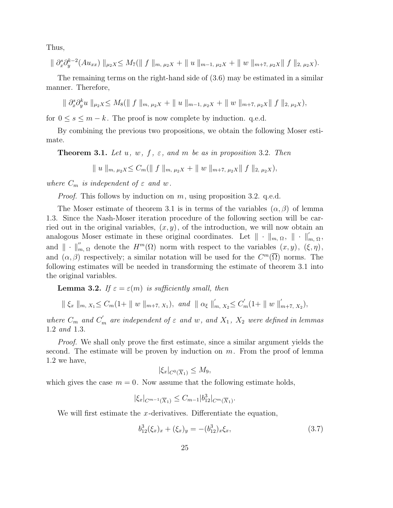Thus,

$$
\| \partial_x^s \partial_y^{k-2} (Au_{xx}) \|_{\mu_2 X} \le M_7(\| f \|_{m, \mu_2 X} + \| u \|_{m-1, \mu_2 X} + \| w \|_{m+7, \mu_2 X} \| f \|_{2, \mu_2 X}).
$$

The remaining terms on the right-hand side of (3.6) may be estimated in a similar manner. Therefore,

$$
\| \partial_x^s \partial_y^k u \|_{\mu_2 X} \leq M_8(\| f \|_{m, \mu_2 X} + \| u \|_{m-1, \mu_2 X} + \| w \|_{m+7, \mu_2 X} \| f \|_{2, \mu_2 X}),
$$

for  $0 \leq s \leq m - k$ . The proof is now complete by induction. q.e.d.

By combining the previous two propositions, we obtain the following Moser estimate.

**Theorem 3.1.** Let  $u, w, f, \varepsilon$ , and  $m$  be as in proposition 3.2. Then

$$
\| u \|_{m, \mu_2 X} \leq C_m (\| f \|_{m, \mu_2 X} + \| w \|_{m+7, \mu_2 X} \| f \|_{2, \mu_2 X}),
$$

where  $C_m$  is independent of  $\varepsilon$  and w.

*Proof.* This follows by induction on  $m$ , using proposition 3.2. q.e.d.

The Moser estimate of theorem 3.1 is in terms of the variables  $(\alpha, \beta)$  of lemma 1.3. Since the Nash-Moser iteration procedure of the following section will be carried out in the original variables,  $(x, y)$ , of the introduction, we will now obtain an analogous Moser estimate in these original coordinates. Let  $\|\cdot\|_{m, \Omega}$ ,  $\|\cdot\|'_{m, \Omega}$ , and  $\|\cdot\|'_{m,\Omega}$  denote the  $H^m(\Omega)$  norm with respect to the variables  $(x, y)$ ,  $(\xi, \eta)$ , and  $(\alpha, \beta)$  respectively; a similar notation will be used for the  $C^m(\overline{\Omega})$  norms. The following estimates will be needed in transforming the estimate of theorem 3.1 into the original variables.

**Lemma 3.2.** If  $\varepsilon = \varepsilon(m)$  is sufficiently small, then

$$
\parallel \xi_x \parallel_{m, X_1} \leq C_m(1) + \parallel w \parallel_{m+7, X_1}), \text{ and } \parallel \alpha_{\xi} \parallel'_{m, X_2} \leq C'_m(1) + \parallel w \parallel'_{m+7, X_2}),
$$

where  $C_m$  and  $C'_m$  are independent of  $\varepsilon$  and w, and  $X_1$ ,  $X_2$  were defined in lemmas 1.2 and 1.3.

Proof. We shall only prove the first estimate, since a similar argument yields the second. The estimate will be proven by induction on  $m$ . From the proof of lemma 1.2 we have,

$$
|\xi_x|_{C^0(\overline{X}_1)} \le M_9,
$$

which gives the case  $m = 0$ . Now assume that the following estimate holds,

$$
|\xi_x|_{C^{m-1}(\overline{X}_1)} \leq C_{m-1} |b_{12}^3|_{C^m(\overline{X}_1)}.
$$

We will first estimate the x-derivatives. Differentiate the equation,

$$
b_{12}^3(\xi_x)_x + (\xi_x)_y = -(b_{12}^3)_x \xi_x, \tag{3.7}
$$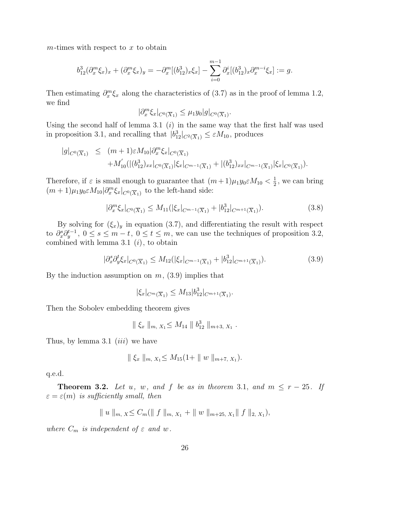$m$ -times with respect to  $x$  to obtain

$$
b_{12}^3(\partial_x^m \xi_x)_x + (\partial_x^m \xi_x)_y = -\partial_x^m[(b_{12}^3)_x \xi_x] - \sum_{i=0}^{m-1} \partial_x^i[(b_{12}^3)_x \partial_x^{m-i} \xi_x] := g.
$$

Then estimating  $\partial_x^m \xi_x$  along the characteristics of (3.7) as in the proof of lemma 1.2, we find

$$
|\partial_x^m \xi_x|_{C^0(\overline{X}_1)} \leq \mu_1 y_0 |g|_{C^0(\overline{X}_1)}.
$$

Using the second half of lemma 3.1  $(i)$  in the same way that the first half was used in proposition 3.1, and recalling that  $|b_{12}^3|_{C^2(\overline{X}_1)} \leq \varepsilon M_{10}$ , produces

$$
|g|_{C^{0}(\overline{X}_{1})} \leq (m+1)\varepsilon M_{10}|\partial_{x}^{m}\xi_{x}|_{C^{0}(\overline{X}_{1})} + M'_{10}(|(b_{12}^{3})_{xx}|_{C^{0}(\overline{X}_{1})}|\xi_{x}|_{C^{m-1}(\overline{X}_{1})} + |(b_{12}^{3})_{xx}|_{C^{m-1}(\overline{X}_{1})}|\xi_{x}|_{C^{0}(\overline{X}_{1})}).
$$

Therefore, if  $\varepsilon$  is small enough to guarantee that  $(m+1)\mu_1y_0 \varepsilon M_{10} < \frac{1}{2}$  $\frac{1}{2}$ , we can bring  $(m+1)\mu_1 y_0 \in M_{10} \vert \partial_x^m \xi_x \vert_{C^0(\overline{X}_1)}$  to the left-hand side:

$$
\partial_x^m \xi_x |_{C^0(\overline{X}_1)} \le M_{11} (|\xi_x|_{C^{m-1}(\overline{X}_1)} + |b_{12}^3|_{C^{m+1}(\overline{X}_1)}). \tag{3.8}
$$

By solving for  $(\xi_x)_y$  in equation (3.7), and differentiating the result with respect to  $\partial_x^s \partial_y^{t-1}$ ,  $0 \le s \le m-t$ ,  $0 \le t \le m$ , we can use the techniques of proposition 3.2, combined with lemma 3.1  $(i)$ , to obtain

$$
|\partial_x^s \partial_y^t \xi_x|_{C^0(\overline{X}_1)} \le M_{12}(|\xi_x|_{C^{m-1}(\overline{X}_1)} + |b_{12}^3|_{C^{m+1}(\overline{X}_1)}). \tag{3.9}
$$

By the induction assumption on  $m$ ,  $(3.9)$  implies that

$$
|\xi_x|_{C^m(\overline{X}_1)} \leq M_{13} |b_{12}^3|_{C^{m+1}(\overline{X}_1)}.
$$

Then the Sobolev embedding theorem gives

$$
\parallel \xi_x \parallel_{m, X_1} \leq M_{14} \parallel b_{12}^3 \parallel_{m+3, X_1}.
$$

Thus, by lemma 3.1  $(iii)$  we have

|∂

$$
\| \xi_x \|_{m, X_1} \le M_{15}(1 + \| w \|_{m+7, X_1}).
$$

q.e.d.

**Theorem 3.2.** Let u, w, and f be as in theorem 3.1, and  $m \leq r - 25$ . If  $\varepsilon = \varepsilon(m)$  is sufficiently small, then

$$
\| u \|_{m, X} \leq C_m (\| f \|_{m, X_1} + \| w \|_{m+25, X_1} \| f \|_{2, X_1}),
$$

where  $C_m$  is independent of  $\varepsilon$  and w.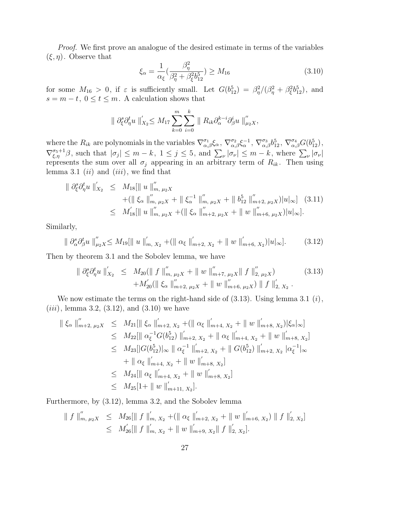Proof. We first prove an analogue of the desired estimate in terms of the variables  $(\xi, \eta)$ . Observe that

$$
\xi_{\alpha} = \frac{1}{\alpha_{\xi}} \left( \frac{\beta_{\eta}^{2}}{\beta_{\eta}^{2} + \beta_{\xi}^{2} b_{12}^{5}} \right) \ge M_{16}
$$
\n(3.10)

for some  $M_{16} > 0$ , if  $\varepsilon$  is sufficiently small. Let  $G(b_{12}^5) = \beta_{\eta}^2/(\beta_{\eta}^2 + \beta_{\xi}^2 b_{12}^5)$ , and  $s = m - t$ ,  $0 \le t \le m$ . A calculation shows that

$$
\| \partial_{\xi}^{s} \partial_{\eta}^{t} u \|'_{X_2} \leq M_{17} \sum_{k=0}^{m} \sum_{i=0}^{k} \| R_{ik} \partial_{\alpha}^{k-i} \partial_{\beta}^{i} u \|''_{\mu_2 X},
$$

where the  $R_{ik}$  are polynomials in the variables  $\nabla^{\sigma_1}_{\alpha,\beta}\xi_\alpha$ ,  $\nabla^{\sigma_2}_{\alpha,\beta}\xi_\alpha^{-1}$ ,  $\nabla^{\sigma_3}_{\alpha,\beta}b_{12}^5$ ,  $\nabla^{\sigma_4}_{\alpha,\beta}G(b_{12}^5)$ ,  $\nabla_{\xi,\eta}^{\sigma_{5}+1}\beta$ , such that  $|\sigma_{j}|\leq m-k$ ,  $1\leq j\leq 5$ , and  $\sum_{\nu}|\sigma_{\nu}|\leq m-k$ , where  $\sum_{\nu}|\sigma_{\nu}|$ represents the sum over all  $\sigma_j$  appearing in an arbitrary term of  $R_{ik}$ . Then using lemma 3.1  $(ii)$  and  $(iii)$ , we find that

$$
\|\partial_{\xi}^{s}\partial_{\eta}^{t}u\|'_{X_{2}} \leq M_{18}[\|u\|''_{m,\,\mu_{2}X} + (\|\xi_{\alpha}\|''_{m,\,\mu_{2}X} + \|\xi_{\alpha}^{-1}\|''_{m,\,\mu_{2}X} + \|\mathbf{b}_{12}^{5}\|''_{m+2,\,\mu_{2}X})|u|_{\infty}] \quad (3.11)\leq M'_{18}[\|u\|''_{m,\,\mu_{2}X} + (\|\xi_{\alpha}\|''_{m+2,\,\mu_{2}X} + \|w\|''_{m+6,\,\mu_{2}X})|u|_{\infty}].
$$

Similarly,

$$
\| \partial_{\alpha}^{s} \partial_{\beta}^{t} u \|_{\mu_{2}X}^{\prime\prime} \leq M_{19} [\| u \|_{m, X_{2}}^{\prime} + (\| \alpha_{\xi} \|_{m+2, X_{2}}^{\prime} + \| w \|_{m+6, X_{2}}^{\prime}) |u|_{\infty}].
$$
 (3.12)

Then by theorem 3.1 and the Sobolev lemma, we have

$$
\| \partial_{\xi}^{s} \partial_{\eta}^{t} u \|'_{X_{2}} \leq M_{20}(\| f \|''_{m, \mu_{2}X} + \| w \|''_{m+7, \mu_{2}X} \| f \|''_{2, \mu_{2}X}) + M_{20}'(\| \xi_{\alpha} \|''_{m+2, \mu_{2}X} + \| w \|''_{m+6, \mu_{2}X}) \| f \|'_{2, X_{2}}.
$$
 (3.13)

We now estimate the terms on the right-hand side of  $(3.13)$ . Using lemma 3.1  $(i)$ ,  $(iii)$ , lemma 3.2,  $(3.12)$ , and  $(3.10)$  we have

$$
\begin{split}\n\|\xi_{\alpha}\|_{m+2,\,\mu_{2}X}^{\prime\prime} &\leq M_{21}[\|\xi_{\alpha}\|_{m+2,\,X_{2}}^{\prime} + (\|\alpha_{\xi}\|_{m+4,\,X_{2}}^{\prime} + \|\,w\,\|_{m+8,\,X_{2}}^{\prime})|\xi_{\alpha}|_{\infty}] \\
&\leq M_{22}[\|\,\alpha_{\xi}^{-1}G(b_{12}^{5})\,\|_{m+2,\,X_{2}}^{\prime} + \|\,\alpha_{\xi}\,\|_{m+4,\,X_{2}}^{\prime} + \|\,w\,\|_{m+8,\,X_{2}}^{\prime}] \\
&\leq M_{23}[\|G(b_{12}^{5})|_{\infty}\,\|\,\alpha_{\xi}^{-1}\,\|_{m+2,\,X_{2}}^{\prime} + \|\,G(b_{12}^{5})\,\|_{m+2,\,X_{2}}^{\prime}\,\|\alpha_{\xi}^{-1}|_{\infty} \\
&\quad + \|\,\alpha_{\xi}\,\|_{m+4,\,X_{2}}^{\prime} + \|\,w\,\|_{m+8,\,X_{2}}^{\prime}]\n\\ &\leq M_{24}[\|\,\alpha_{\xi}\,\|_{m+4,\,X_{2}}^{\prime} + \|\,w\,\|_{m+8,\,X_{2}}^{\prime}]\n\\ &\leq M_{25}[1 + \|\,w\,\|_{m+11,\,X_{2}}^{\prime}].\n\end{split}
$$

Furthermore, by (3.12), lemma 3.2, and the Sobolev lemma

$$
\| f \|'_{m, \mu_2 X} \leq M_{26} [\| f \|'_{m, X_2} + (\| \alpha_{\xi} \|'_{m+2, X_2} + \| w \|'_{m+6, X_2}) \| f \|'_{2, X_2}]
$$
  

$$
\leq M'_{26} [\| f \|'_{m, X_2} + \| w \|'_{m+9, X_2} \| f \|'_{2, X_2}].
$$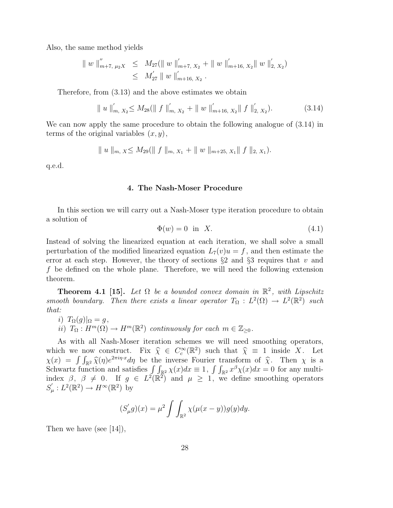Also, the same method yields

$$
\| w \|_{m+7, \mu_2 X}'' \leq M_{27}(\| w \|_{m+7, X_2}'' + \| w \|_{m+16, X_2}'' \| w \|_{2, X_2}')
$$
  

$$
\leq M_{27}' \| w \|_{m+16, X_2}''.
$$

Therefore, from (3.13) and the above estimates we obtain

$$
\| u \|'_{m, X_2} \le M_{28}(\| f \|'_{m, X_2} + \| w \|'_{m+16, X_2} \| f \|'_{2, X_2}).
$$
\n(3.14)

We can now apply the same procedure to obtain the following analogue of (3.14) in terms of the original variables  $(x, y)$ ,

$$
\| u \|_{m, X} \leq M_{29}(\| f \|_{m, X_1} + \| w \|_{m+25, X_1} \| f \|_{2, X_1}).
$$

q.e.d.

### 4. The Nash-Moser Procedure

In this section we will carry out a Nash-Moser type iteration procedure to obtain a solution of

$$
\Phi(w) = 0 \quad \text{in} \quad X. \tag{4.1}
$$

Instead of solving the linearized equation at each iteration, we shall solve a small perturbation of the modified linearized equation  $L_7(v)u = f$ , and then estimate the error at each step. However, the theory of sections  $\S$ 2 and  $\S$ 3 requires that v and f be defined on the whole plane. Therefore, we will need the following extension theorem.

**Theorem 4.1** [15]. Let  $\Omega$  be a bounded convex domain in  $\mathbb{R}^2$ , with Lipschitz smooth boundary. Then there exists a linear operator  $T_{\Omega}: L^2(\Omega) \to L^2(\mathbb{R}^2)$  such that:

i)  $T_{\Omega}(g)|_{\Omega} = g,$ ii)  $T_{\Omega}: H^m(\Omega) \to H^m(\mathbb{R}^2)$  continuously for each  $m \in \mathbb{Z}_{\geq 0}$ .

As with all Nash-Moser iteration schemes we will need smoothing operators, which we now construct. Fix  $\hat{\chi} \in C_c^{\infty}(\mathbb{R}^2)$  such that  $\hat{\chi} \equiv 1$  inside X. Let  $\chi(x) = \int \int \hat{\chi}(x) e^{2\pi i \eta \cdot x} dx$  be the inverse Fourier transform of  $\hat{\chi}$ . Then  $\chi$  is a  $\chi(x) = \int \int_{\mathbb{R}^2} \widehat{\chi}(\eta) e^{2\pi i \eta \cdot x} d\eta$  be the inverse Fourier transform of  $\widehat{\chi}$ . Then  $\chi$  is a Sebwortz function and satisfies  $\int \int \chi(x) dx = 1$  of  $\int \chi(x) dx = 0$  for any multi-Schwartz function and satisfies  $\int \int_{\mathbb{R}^2} \chi(x) dx \equiv 1$ ,  $\int \int_{\mathbb{R}^2} x^{\beta} \chi(x) dx = 0$  for any multiindex  $\beta$ ,  $\beta \neq 0$ . If  $g \in L^2(\mathbb{R}^2)$  and  $\mu \geq 1$ , we define smoothing operators  $S_{\iota}'$  $u'_\mu: L^2(\mathbb{R}^2) \to H^\infty(\mathbb{R}^2)$  by

$$
(S'_{\mu}g)(x) = \mu^2 \int \int_{\mathbb{R}^2} \chi(\mu(x - y))g(y)dy.
$$

Then we have (see [14]),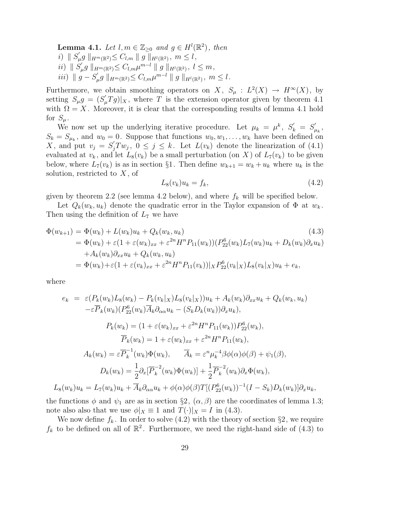**Lemma 4.1.** Let  $l, m \in \mathbb{Z}_{\geq 0}$  and  $g \in H^l(\mathbb{R}^2)$ , then i)  $\parallel S'_l$  $\int_{\mu}^{'} g\parallel_{H^{m}(\mathbb{R}^2)} \leq C_{l,m}\parallel g\parallel_{H^{l}(\mathbb{R}^2)},\; m\leq l\,,$ ii)  $\parallel S'_l$  $\int_{\mu}^{\prime} g \parallel_{H^m(\mathbb{R}^2)} \leq C_{l,m} \mu^{m-l} \parallel g \parallel_{H^l(\mathbb{R}^2)}, \ l \leq m,$ iii)  $\parallel g - S'_{\iota}$  $\int_{\mu}^{\prime} g \parallel_{H^m(\mathbb{R}^2)} \leq C_{l,m} \mu^{m-l} \parallel g \parallel_{H^l(\mathbb{R}^2)}, m \leq l.$ 

Furthermore, we obtain smoothing operators on X,  $S_{\mu}: L^2(X) \to H^{\infty}(X)$ , by setting  $S_{\mu}g = (S_{\mu}'Tg)|_X$ , where T is the extension operator given by theorem 4.1 with  $\Omega = X$ . Moreover, it is clear that the corresponding results of lemma 4.1 hold for  $S_{\mu}$ .

We now set up the underlying iterative procedure. Let  $\mu_k = \mu^k$ ,  $S'_k = S'_k$  $_{\mu_k}^{\prime}$  ,  $S_k = S_{\mu_k}$ , and  $w_0 = 0$ . Suppose that functions  $w_0, w_1, \ldots, w_k$  have been defined on X, and put  $v_j = S'_j T w_j$ ,  $0 \le j \le k$ . Let  $L(v_k)$  denote the linearization of (4.1) evaluated at  $v_k$ , and let  $L_8(v_k)$  be a small perturbation (on X) of  $L_7(v_k)$  to be given below, where  $L_7(v_k)$  is as in section §1. Then define  $w_{k+1} = w_k + u_k$  where  $u_k$  is the solution, restricted to  $X$ , of

$$
L_8(v_k)u_k = f_k,\t\t(4.2)
$$

given by theorem 2.2 (see lemma 4.2 below), and where  $f_k$  will be specified below.

Let  $Q_k(w_k, u_k)$  denote the quadratic error in the Taylor expansion of  $\Phi$  at  $w_k$ . Then using the definition of  $L_7$  we have

$$
\Phi(w_{k+1}) = \Phi(w_k) + L(w_k)u_k + Q_k(w_k, u_k)
$$
\n
$$
= \Phi(w_k) + \varepsilon (1 + \varepsilon (w_k)_{xx} + \varepsilon^{2n} H^n P_{11}(w_k)) (P_{22}^6(w_k) L_7(w_k) u_k + D_k(w_k) \partial_x u_k)
$$
\n
$$
+ A_k(w_k) \partial_{xx} u_k + Q_k(w_k, u_k)
$$
\n
$$
= \Phi(w_k) + \varepsilon (1 + \varepsilon (v_k)_{xx} + \varepsilon^{2n} H^n P_{11}(v_k)) |_X P_{22}^6(v_k|_X) L_8(v_k|_X) u_k + e_k,
$$
\n(4.3)

where

$$
e_k = \varepsilon (P_k(w_k) L_8(w_k) - P_k(v_k|_X) L_8(v_k|_X))u_k + A_k(w_k)\partial_{xx}u_k + Q_k(w_k, u_k)
$$
  
\n
$$
-\varepsilon \overline{P}_k(w_k) (P_{22}^6(w_k)\overline{A}_k \partial_{\alpha\alpha}u_k - (S_k D_k(w_k))\partial_x u_k),
$$
  
\n
$$
P_k(w_k) = (1 + \varepsilon (w_k)_{xx} + \varepsilon^{2n} H^n P_{11}(w_k)) P_{22}^6(w_k),
$$
  
\n
$$
\overline{P}_k(w_k) = 1 + \varepsilon (w_k)_{xx} + \varepsilon^{2n} H^n P_{11}(w_k),
$$
  
\n
$$
A_k(w_k) = \varepsilon \overline{P}_k^{-1}(w_k)\Phi(w_k), \qquad \overline{A}_k = \varepsilon^n \mu_k^{-4} \beta \phi(\alpha) \phi(\beta) + \psi_1(\beta),
$$
  
\n
$$
D_k(w_k) = \frac{1}{2} \partial_x [\overline{P}_k^{-2}(w_k)\Phi(w_k)] + \frac{1}{2} \overline{P}_k^{-2}(w_k) \partial_x \Phi(w_k),
$$
  
\n
$$
L_8(w_k)u_k = L_7(w_k)u_k + \overline{A}_k \partial_{\alpha\alpha}u_k + \phi(\alpha) \phi(\beta) T[(P_{22}^6(w_k))^{-1}(I - S_k)D_k(w_k)]\partial_x u_k,
$$

the functions  $\phi$  and  $\psi_1$  are as in section §2,  $(\alpha, \beta)$  are the coordinates of lemma 1.3; note also also that we use  $\phi|_X \equiv 1$  and  $T(\cdot)|_X = I$  in (4.3).

We now define  $f_k$ . In order to solve (4.2) with the theory of section §2, we require  $f_k$  to be defined on all of  $\mathbb{R}^2$ . Furthermore, we need the right-hand side of (4.3) to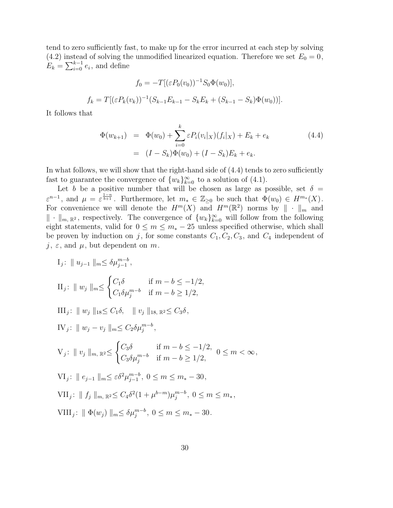tend to zero sufficiently fast, to make up for the error incurred at each step by solving (4.2) instead of solving the unmodified linearized equation. Therefore we set  $E_0 = 0$ ,  $E_k = \sum_{i=0}^{k-1} e_i$ , and define

$$
f_0 = -T[(\varepsilon P_0(v_0))^{-1} S_0 \Phi(w_0)],
$$
  

$$
f_k = T[(\varepsilon P_k(v_k))^{-1} (S_{k-1} E_{k-1} - S_k E_k + (S_{k-1} - S_k) \Phi(w_0))].
$$

It follows that

$$
\Phi(w_{k+1}) = \Phi(w_0) + \sum_{i=0}^{k} \varepsilon P_i(v_i|x)(f_i|x) + E_k + e_k
$$
\n
$$
= (I - S_k)\Phi(w_0) + (I - S_k)E_k + e_k.
$$
\n(4.4)

In what follows, we will show that the right-hand side of (4.4) tends to zero sufficiently fast to guarantee the convergence of  $\{w_k\}_{k=0}^{\infty}$  to a solution of (4.1).

Let b be a positive number that will be chosen as large as possible, set  $\delta$  =  $\varepsilon^{n-1}$ , and  $\mu = \varepsilon^{\frac{1-n}{b+1}}$ . Furthermore, let  $m_* \in \mathbb{Z}_{\geq 0}$  be such that  $\Phi(w_0) \in H^{m_*}(X)$ . For convenience we will denote the  $H^m(X)$  and  $H^m(\mathbb{R}^2)$  norms by  $\|\cdot\|_m$  and  $\|\cdot\|_{m, \mathbb{R}^2}$ , respectively. The convergence of  $\{w_k\}_{k=0}^{\infty}$  will follow from the following eight statements, valid for  $0 \le m \le m_* - 25$  unless specified otherwise, which shall be proven by induction on j, for some constants  $C_1, C_2, C_3$ , and  $C_4$  independent of  $j, \varepsilon$ , and  $\mu$ , but dependent on m.

$$
I_j: \| u_{j-1} \|_{m} \leq \delta \mu_{j-1}^{m-b},
$$
  
\n
$$
II_j: \| w_j \|_{m} \leq \begin{cases} C_1 \delta & \text{if } m-b \leq -1/2, \\ C_1 \delta \mu_j^{m-b} & \text{if } m-b \geq 1/2, \end{cases}
$$
  
\n
$$
III_j: \| w_j \|_{18} \leq C_1 \delta, \| v_j \|_{18} \leq C_2 \delta, \quad \| v_j \|_{18} \leq C_3 \delta,
$$
  
\n
$$
IV_j: \| w_j - v_j \|_{m} \leq C_2 \delta \mu_j^{m-b},
$$
  
\n
$$
V_j: \| v_j \|_{m, \mathbb{R}^2} \leq \begin{cases} C_3 \delta & \text{if } m-b \leq -1/2, \\ C_3 \delta \mu_j^{m-b} & \text{if } m-b \geq 1/2, \end{cases} 0 \leq m < \infty,
$$
  
\n
$$
VI_j: \| e_{j-1} \|_{m} \leq \varepsilon \delta^2 \mu_{j-1}^{m-b}, 0 \leq m \leq m_* - 30,
$$
  
\n
$$
VII_j: \| f_j \|_{m, \mathbb{R}^2} \leq C_4 \delta^2 (1 + \mu^{b-m}) \mu_j^{m-b}, 0 \leq m \leq m_*,
$$
  
\n
$$
VIII_j: \| \Phi(w_j) \|_{m} \leq \delta \mu_j^{m-b}, 0 \leq m \leq m_* - 30.
$$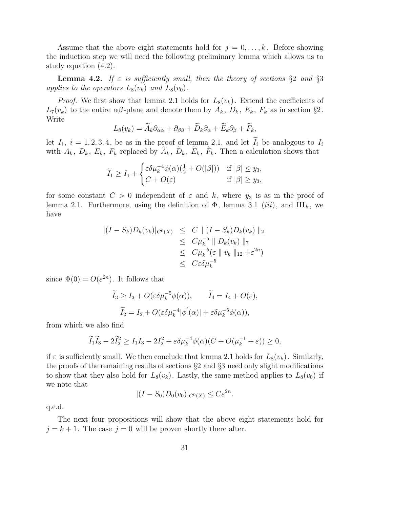Assume that the above eight statements hold for  $j = 0, \ldots, k$ . Before showing the induction step we will need the following preliminary lemma which allows us to study equation (4.2).

**Lemma 4.2.** If  $\varepsilon$  is sufficiently small, then the theory of sections §2 and §3 applies to the operators  $L_8(v_k)$  and  $L_8(v_0)$ .

*Proof.* We first show that lemma 2.1 holds for  $L_8(v_k)$ . Extend the coefficients of  $L_7(v_k)$  to the entire  $\alpha\beta$ -plane and denote them by  $A_k$ ,  $D_k$ ,  $E_k$ ,  $F_k$  as in section §2. Write

$$
L_8(v_k) = \widetilde{A}_k \partial_{\alpha \alpha} + \partial_{\beta \beta} + \widetilde{D}_k \partial_{\alpha} + \widetilde{E}_k \partial_{\beta} + \widetilde{F}_k,
$$

let  $I_i$ ,  $i = 1, 2, 3, 4$ , be as in the proof of lemma 2.1, and let  $I_i$  be analogous to  $I_i$ with  $A_k$ ,  $D_k$ ,  $E_k$ ,  $F_k$  replaced by  $\tilde{A}_k$ ,  $\tilde{D}_k$ ,  $\tilde{E}_k$ ,  $\tilde{F}_k$ . Then a calculation shows that

$$
\widetilde{I}_1 \ge I_1 + \begin{cases}\varepsilon \delta \mu_k^{-4} \phi(\alpha) \left(\frac{1}{2} + O(|\beta|)\right) & \text{if } |\beta| \le y_3, \\
C + O(\varepsilon) & \text{if } |\beta| \ge y_3,\n\end{cases}
$$

for some constant  $C > 0$  independent of  $\varepsilon$  and k, where  $y_3$  is as in the proof of lemma 2.1. Furthermore, using the definition of  $\Phi$ , lemma 3.1 (iii), and III<sub>k</sub>, we have

$$
\begin{array}{rcl} \|(I - S_k)D_k(v_k)|_{C^0(X)} & \leq & C \parallel (I - S_k)D_k(v_k) \parallel_2 \\ & \leq & C\mu_k^{-5} \parallel D_k(v_k) \parallel_7 \\ & \leq & C\mu_k^{-5}(\varepsilon \parallel v_k \parallel_{12} + \varepsilon^{2n}) \\ & \leq & C\varepsilon \delta \mu_k^{-5} \end{array}
$$

since  $\Phi(0) = O(\varepsilon^{2n})$ . It follows that

$$
\widetilde{I}_3 \ge I_3 + O(\varepsilon \delta \mu_k^{-5} \phi(\alpha)), \qquad \widetilde{I}_4 = I_4 + O(\varepsilon),
$$
  

$$
\widetilde{I}_2 = I_2 + O(\varepsilon \delta \mu_k^{-4} |\phi'(\alpha)| + \varepsilon \delta \mu_k^{-5} \phi(\alpha)),
$$

from which we also find

$$
\widetilde{I}_1 \widetilde{I}_3 - 2\widetilde{I}_2^2 \ge I_1 I_3 - 2I_2^2 + \varepsilon \delta \mu_k^{-4} \phi(\alpha) (C + O(\mu_k^{-1} + \varepsilon)) \ge 0,
$$

if  $\varepsilon$  is sufficiently small. We then conclude that lemma 2.1 holds for  $L_8(v_k)$ . Similarly, the proofs of the remaining results of sections §2 and §3 need only slight modifications to show that they also hold for  $L_8(v_k)$ . Lastly, the same method applies to  $L_8(v_0)$  if we note that

$$
|(I - S_0)D_0(v_0)|_{C^0(X)} \le C\varepsilon^{2n}.
$$

q.e.d.

The next four propositions will show that the above eight statements hold for  $j = k + 1$ . The case  $j = 0$  will be proven shortly there after.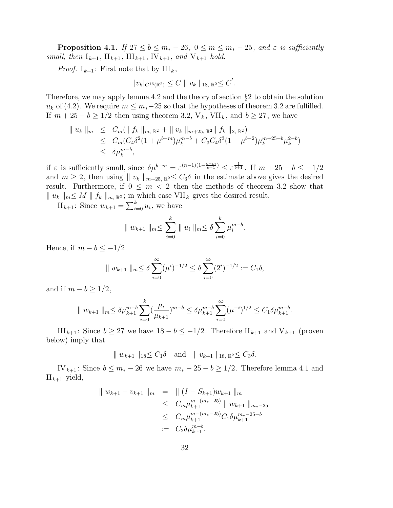**Proposition 4.1.** If  $27 \le b \le m_* - 26$ ,  $0 \le m \le m_* - 25$ , and  $\varepsilon$  is sufficiently small, then  $I_{k+1}$ ,  $II_{k+1}$ ,  $III_{k+1}$ ,  $IV_{k+1}$ , and  $V_{k+1}$  hold.

*Proof.*  $I_{k+1}$ : First note that by  $III_k$ ,

$$
|v_k|_{C^{16}(\mathbb{R}^2)} \leq C \|v_k\|_{18, \mathbb{R}^2} \leq C'.
$$

Therefore, we may apply lemma 4.2 and the theory of section §2 to obtain the solution  $u_k$  of (4.2). We require  $m \leq m_*-25$  so that the hypotheses of theorem 3.2 are fulfilled. If  $m + 25 - b \ge 1/2$  then using theorem 3.2,  $V_k$ ,  $VII_k$ , and  $b \ge 27$ , we have

$$
\| u_k \|_{m} \leq C_m (\| f_k \|_{m, \mathbb{R}^2} + \| v_k \|_{m+25, \mathbb{R}^2} \| f_k \|_{2, \mathbb{R}^2})
$$
  
\n
$$
\leq C_m (C_4 \delta^2 (1 + \mu^{b-m}) \mu_k^{m-b} + C_3 C_4 \delta^3 (1 + \mu^{b-2}) \mu_k^{m+25-b} \mu_k^{2-b})
$$
  
\n
$$
\leq \delta \mu_k^{m-b},
$$

if  $\varepsilon$  is sufficiently small, since  $\delta \mu^{b-m} = \varepsilon^{(n-1)(1-\frac{b-m}{b+1})} \leq \varepsilon^{\frac{1}{b+1}}$ . If  $m+25-b \leq -1/2$ and  $m \geq 2$ , then using  $|| v_k ||_{m+25, \mathbb{R}^2} \leq C_3 \delta$  in the estimate above gives the desired result. Furthermore, if  $0 \leq m < 2$  then the methods of theorem 3.2 show that  $\|u_k\|_m \leq M \|f_k\|_{m, \mathbb{R}^2}$ ; in which case VII<sub>k</sub> gives the desired result.

 $\prod_{k+1}$ : Since  $w_{k+1} = \sum_{i=0}^{k} u_i$ , we have

$$
\| w_{k+1} \|_{m} \leq \sum_{i=0}^{k} \| u_i \|_{m} \leq \delta \sum_{i=0}^{k} \mu_i^{m-b}.
$$

Hence, if  $m - b \leq -1/2$ 

$$
|| w_{k+1} ||_{m} \le \delta \sum_{i=0}^{\infty} (\mu^{i})^{-1/2} \le \delta \sum_{i=0}^{\infty} (2^{i})^{-1/2} := C_1 \delta,
$$

and if  $m - b \geq 1/2$ ,

$$
\| w_{k+1} \|_{m} \leq \delta \mu_{k+1}^{m-b} \sum_{i=0}^{k} (\frac{\mu_i}{\mu_{k+1}})^{m-b} \leq \delta \mu_{k+1}^{m-b} \sum_{i=0}^{\infty} (\mu^{-i})^{1/2} \leq C_1 \delta \mu_{k+1}^{m-b}.
$$

III<sub>k+1</sub>: Since  $b \ge 27$  we have  $18 - b \le -1/2$ . Therefore II<sub>k+1</sub> and V<sub>k+1</sub> (proven below) imply that

$$
|| w_{k+1} ||_{18} \leq C_1 \delta
$$
 and  $|| v_{k+1} ||_{18} \leq C_3 \delta$ .

IV<sub>k+1</sub>: Since  $b \leq m_* - 26$  we have  $m_* - 25 - b \geq 1/2$ . Therefore lemma 4.1 and  $II_{k+1}$  yield,

$$
\| w_{k+1} - v_{k+1} \|_{m} = \| (I - S_{k+1}) w_{k+1} \|_{m}
$$
  
\n
$$
\leq C_m \mu_{k+1}^{m - (m_* - 25)} \| w_{k+1} \|_{m_* - 25}
$$
  
\n
$$
\leq C_m \mu_{k+1}^{m - (m_* - 25)} C_1 \delta \mu_{k+1}^{m_* - 25 - b}
$$
  
\n
$$
:= C_2 \delta \mu_{k+1}^{m - b}.
$$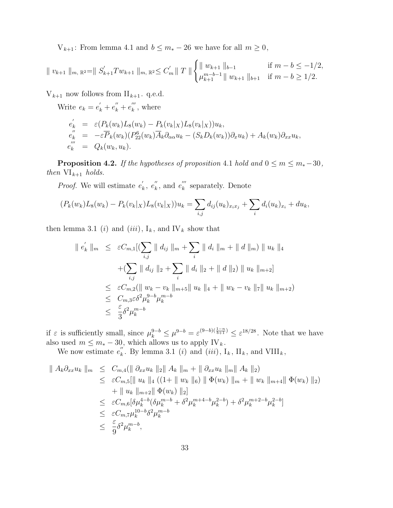V<sub>k+1</sub>: From lemma 4.1 and  $b \le m_* - 26$  we have for all  $m \ge 0$ ,

$$
\| v_{k+1} \|_{m, \mathbb{R}^2} = \| S'_{k+1} T w_{k+1} \|_{m, \mathbb{R}^2} \le C'_m \| T \| \begin{cases} \| w_{k+1} \|_{b-1} & \text{if } m - b \le -1/2, \\ \mu_{k+1}^{m-b-1} \| w_{k+1} \|_{b+1} & \text{if } m - b \ge 1/2. \end{cases}
$$

 $V_{k+1}$  now follows from  $II_{k+1}$ . q.e.d.

Write  $e_k = e'_k + e''_k + e'''_k$  $\binom{m}{k}$ , where

$$
e'_{k} = \varepsilon (P_k(w_k) L_8(w_k) - P_k(v_k|_X) L_8(v_k|_X)) u_k,
$$
  
\n
$$
e''_{k} = -\varepsilon \overline{P}_k(w_k) (P_{22}^{6}(w_k) \overline{A}_k \partial_{\alpha \alpha} u_k - (S_k D_k(w_k)) \partial_x u_k) + A_k(w_k) \partial_{xx} u_k,
$$
  
\n
$$
e''_{k} = Q_k(w_k, u_k).
$$

**Proposition 4.2.** If the hypotheses of proposition 4.1 hold and  $0 \le m \le m_* - 30$ , then  $VI_{k+1}$  holds.

*Proof.* We will estimate  $e'_{\ell}$  $k'$ ,  $e_{k}''$  $\binom{n}{k}$ , and  $e_k^{\prime\prime\prime}$  $\binom{m}{k}$  separately. Denote

$$
(P_k(w_k)L_8(w_k)-P_k(v_k|_X)L_8(v_k|_X))u_k=\sum_{i,j}d_{ij}(u_k)_{x_ix_j}+\sum_i d_i(u_k)_{x_i}+du_k,
$$

then lemma 3.1 (i) and (iii),  $I_k$ , and IV<sub>k</sub> show that

$$
\| e'_k \|_m \leq \varepsilon C_{m,1} [(\sum_{i,j} \| d_{ij} \|_m + \sum_i \| d_i \|_m + \| d \|_m) \| u_k \|_4
$$
  
+ 
$$
(\sum_{i,j} \| d_{ij} \|_2 + \sum_i \| d_i \|_2 + \| d \|_2) \| u_k \|_{m+2}]
$$
  

$$
\leq \varepsilon C_{m,2} (\| w_k - v_k \|_{m+5} \| u_k \|_4 + \| w_k - v_k \|_7 \| u_k \|_{m+2})
$$
  

$$
\leq C_{m,3} \varepsilon \delta^2 \mu_k^{9-b} \mu_k^{m-b}
$$
  

$$
\leq \frac{\varepsilon}{3} \delta^2 \mu_k^{m-b}
$$

if  $\varepsilon$  is sufficiently small, since  $\mu_k^{9-b} \leq \mu^{9-b} = \varepsilon^{(9-b)(\frac{1-n}{b+1})} \leq \varepsilon^{18/28}$ . Note that we have also used  $m \leq m_* - 30$ , which allows us to apply IV<sub>k</sub>.

We now estimate  $e_k''$  $\kappa$ . By lemma 3.1 (*i*) and (*iii*),  $I_k$ ,  $II_k$ , and  $VIII_k$ ,

$$
\| A_k \partial_{xx} u_k \|_m \leq C_{m,4} (\| \partial_{xx} u_k \|_2 \| A_k \|_m + \| \partial_{xx} u_k \|_m \| A_k \|_2)
$$
  
\n
$$
\leq \varepsilon C_{m,5} [\| u_k \|_4 ((1 + \| w_k \|_6) \| \Phi(w_k) \|_m + \| w_k \|_{m+4} \| \Phi(w_k) \|_2)
$$
  
\n
$$
+ \| u_k \|_{m+2} \| \Phi(w_k) \|_2]
$$
  
\n
$$
\leq \varepsilon C_{m,6} [\delta \mu_k^{4-b} (\delta \mu_k^{m-b} + \delta^2 \mu_k^{m+4-b} \mu_k^{2-b}) + \delta^2 \mu_k^{m+2-b} \mu_k^{2-b}]
$$
  
\n
$$
\leq \varepsilon C_{m,7} \mu_k^{10-b} \delta^2 \mu_k^{m-b}
$$
  
\n
$$
\leq \frac{\varepsilon}{9} \delta^2 \mu_k^{m-b},
$$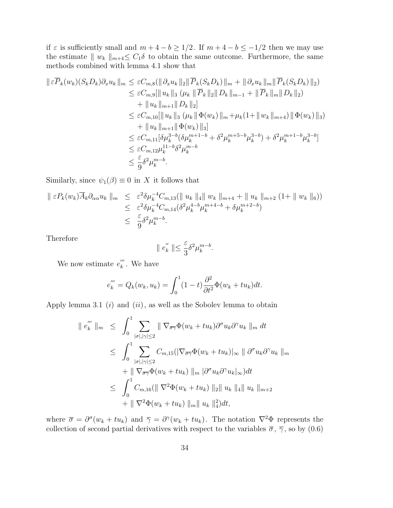if  $\varepsilon$  is sufficiently small and  $m + 4 - b \ge 1/2$ . If  $m + 4 - b \le -1/2$  then we may use the estimate  $|| w_k ||_{m+4} \leq C_1 \delta$  to obtain the same outcome. Furthermore, the same methods combined with lemma 4.1 show that

$$
\|\varepsilon \overline{P}_k(w_k)(S_k D_k)\partial_x u_k\|_m \leq \varepsilon C_{m,8}(\|\partial_x u_k\|_2 \|\overline{P}_k(S_k D_k)\|_m + \|\partial_x u_k\|_m \|\overline{P}_k(S_k D_k)\|_2)
$$
  
\n
$$
\leq \varepsilon C_{m,9}[\|u_k\|_3 (\mu_k \|\overline{P}_k\|_2 \|D_k\|_{m-1} + \|\overline{P}_k\|_m \|D_k\|_2)
$$
  
\n
$$
+ \|u_k\|_{m+1} \|D_k\|_2]
$$
  
\n
$$
\leq \varepsilon C_{m,10}[\|u_k\|_3 (\mu_k \|\Phi(w_k)\|_m + \mu_k(1 + \|w_k\|_{m+4}) \|\Phi(w_k)\|_3)
$$
  
\n
$$
+ \|u_k\|_{m+1} \|\Phi(w_k)\|_3]
$$
  
\n
$$
\leq \varepsilon C_{m,11}[\delta \mu_k^{3-b}(\delta \mu_k^{m+1-b} + \delta^2 \mu_k^{m+5-b} \mu_k^{3-b}) + \delta^2 \mu_k^{m+1-b} \mu_k^{3-b}]
$$
  
\n
$$
\leq \varepsilon C_{m,12} \mu_k^{11-b} \delta^2 \mu_k^{m-b}
$$
  
\n
$$
\leq \frac{\varepsilon}{9} \delta^2 \mu_k^{m-b}.
$$

Similarly, since  $\psi_1(\beta) \equiv 0$  in X it follows that

$$
\|\varepsilon P_k(w_k)\overline{A}_k \partial_{\alpha \alpha} u_k\|_m \leq \varepsilon^2 \delta \mu_k^{-4} C_{m,13}(\|u_k\|_4 \|w_k\|_{m+4} + \|u_k\|_{m+2} (1 + \|w_k\|_6))
$$
  

$$
\leq \varepsilon^2 \delta \mu_k^{-4} C_{m,14} (\delta^2 \mu_k^{4-b} \mu_k^{m+4-b} + \delta \mu_k^{m+2-b})
$$
  

$$
\leq \frac{\varepsilon}{9} \delta^2 \mu_k^{m-b}.
$$

Therefore

$$
\parallel e_k^{''}\parallel\leq \frac{\varepsilon}{3}\delta^2\mu_k^{m-b}.
$$

We now estimate  $e_k^{\prime\prime\prime}$  $\binom{m}{k}$ . We have

$$
e_k''' = Q_k(w_k, u_k) = \int_0^1 (1-t) \frac{\partial^2}{\partial t^2} \Phi(w_k + tu_k) dt.
$$

Apply lemma 3.1  $(i)$  and  $(ii)$ , as well as the Sobolev lemma to obtain

$$
\| e_{k}^{'''} \|_{m} \leq \int_{0}^{1} \sum_{|\sigma|, |\gamma| \leq 2} \| \nabla_{\overline{\sigma \gamma}} \Phi(w_{k} + tu_{k}) \partial^{\sigma} u_{k} \partial^{\gamma} u_{k} \|_{m} dt
$$
  
\n
$$
\leq \int_{0}^{1} \sum_{|\sigma|, |\gamma| \leq 2} C_{m,15} (|\nabla_{\overline{\sigma \gamma}} \Phi(w_{k} + tu_{k})|_{\infty} \| \partial^{\sigma} u_{k} \partial^{\gamma} u_{k} \|_{m}
$$
  
\n
$$
+ \| \nabla_{\overline{\sigma \gamma}} \Phi(w_{k} + tu_{k}) \|_{m} | \partial^{\sigma} u_{k} \partial^{\gamma} u_{k} |_{\infty} ) dt
$$
  
\n
$$
\leq \int_{0}^{1} C_{m,16} (\| \nabla^{2} \Phi(w_{k} + tu_{k}) \|_{2} \| u_{k} \|_{4} \| u_{k} \|_{m+2}
$$
  
\n
$$
+ \| \nabla^{2} \Phi(w_{k} + tu_{k}) \|_{m} \| u_{k} \|_{4}^{2} ) dt,
$$

where  $\bar{\sigma} = \partial^{\sigma}(w_k + tu_k)$  and  $\bar{\gamma} = \partial^{\gamma}(w_k + tu_k)$ . The notation  $\nabla^2 \Phi$  represents the collection of second partial derivatives with respect to the variables  $\bar{\sigma}$ ,  $\bar{\gamma}$ , so by (0.6)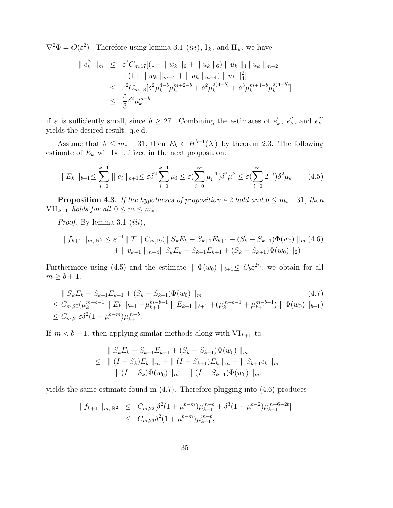$\nabla^2 \Phi = O(\varepsilon^2)$ . Therefore using lemma 3.1 (*iii*),  $I_k$ , and  $II_k$ , we have

$$
\| e_{k}''' \|_{m} \leq \varepsilon^{2} C_{m,17} [(1 + \| w_{k} \|_{6} + \| u_{k} \|_{6}) \| u_{k} \|_{4} \| u_{k} \|_{m+2}
$$
  
+(1 + \| w\_{k} \|\_{m+4} + \| u\_{k} \|\_{m+4}) \| u\_{k} \|\_{4}^{2}  

$$
\leq \varepsilon^{2} C_{m,18} [\delta^{2} \mu_{k}^{4-b} \mu_{k}^{m+2-b} + \delta^{2} \mu_{k}^{2(4-b)} + \delta^{3} \mu_{k}^{m+4-b} \mu_{k}^{2(4-b)}]
$$
  

$$
\leq \frac{\varepsilon}{3} \delta^{2} \mu_{k}^{m-b}
$$

if  $\varepsilon$  is sufficiently small, since  $b \geq 27$ . Combining the estimates of  $e'_{l}$  $\kappa$ <sup>"</sup>,  $e_{k}$ "  $\binom{n}{k}$ , and  $e_k^{\prime\prime\prime}$ k yields the desired result. q.e.d.

Assume that  $b \leq m_* - 31$ , then  $E_k \in H^{b+1}(X)$  by theorem 2.3. The following estimate of  $E_k$  will be utilized in the next proposition:

$$
\| E_k \|_{b+1} \leq \sum_{i=0}^{k-1} \| e_i \|_{b+1} \leq \varepsilon \delta^2 \sum_{i=0}^{k-1} \mu_i \leq \varepsilon \left( \sum_{i=0}^{\infty} \mu_i^{-1} \right) \delta^2 \mu^k \leq \varepsilon \left( \sum_{i=0}^{\infty} 2^{-i} \right) \delta^2 \mu_k. \tag{4.5}
$$

**Proposition 4.3.** If the hypotheses of proposition 4.2 hold and  $b \leq m_* -31$ , then  $VII_{k+1}$  holds for all  $0 \leq m \leq m_*$ .

*Proof.* By lemma 3.1  $(iii)$ ,

$$
\| f_{k+1} \|_{m, \mathbb{R}^2} \leq \varepsilon^{-1} \| T \| C_{m,19} (\| S_k E_k - S_{k+1} E_{k+1} + (S_k - S_{k+1}) \Phi(w_0) \|_{m} (4.6)
$$
  
+ 
$$
\| v_{k+1} \|_{m+4} \| S_k E_k - S_{k+1} E_{k+1} + (S_k - S_{k+1}) \Phi(w_0) \|_{2}).
$$

Furthermore using (4.5) and the estimate  $|| \Phi(w_0) ||_{b+1} \leq C_b \varepsilon^{2n}$ , we obtain for all  $m \geq b+1$ ,

$$
\| S_k E_k - S_{k+1} E_{k+1} + (S_k - S_{k+1}) \Phi(w_0) \|_m
$$
\n
$$
\leq C_{m,20} (\mu_k^{m-b-1} \| E_k \|_{b+1} + \mu_{k+1}^{m-b-1} \| E_{k+1} \|_{b+1} + (\mu_k^{m-b-1} + \mu_{k+1}^{m-b-1}) \| \Phi(w_0) \|_{b+1})
$$
\n
$$
\leq C_{m,21} \varepsilon \delta^2 (1 + \mu^{b-m}) \mu_{k+1}^{m-b}.
$$
\n(4.7)

If  $m < b+1$ , then applying similar methods along with  $VI_{k+1}$  to

$$
\| S_k E_k - S_{k+1} E_{k+1} + (S_k - S_{k+1}) \Phi(w_0) \|_m
$$
  
\n
$$
\leq \| (I - S_k) E_k \|_m + \| (I - S_{k+1}) E_k \|_m + \| S_{k+1} e_k \|_m
$$
  
\n
$$
+ \| (I - S_k) \Phi(w_0) \|_m + \| (I - S_{k+1}) \Phi(w_0) \|_m,
$$

yields the same estimate found in (4.7). Therefore plugging into (4.6) produces

$$
\| f_{k+1} \|_{m, \mathbb{R}^2} \leq C_{m, 22} [\delta^2 (1 + \mu^{b-m}) \mu_{k+1}^{m-b} + \delta^3 (1 + \mu^{b-2}) \mu_{k+1}^{m+b-2b}]
$$
  

$$
\leq C_{m, 23} \delta^2 (1 + \mu^{b-m}) \mu_{k+1}^{m-b},
$$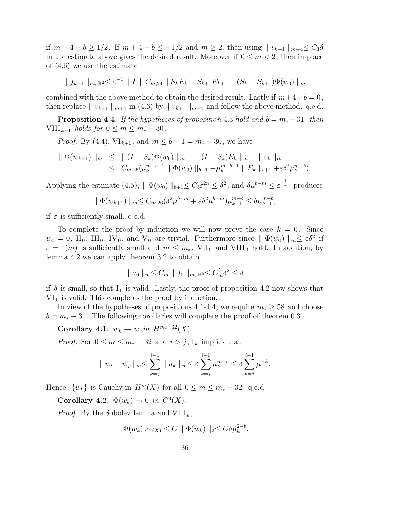if  $m + 4 - b \ge 1/2$ . If  $m + 4 - b \le -1/2$  and  $m \ge 2$ , then using  $|| v_{k+1} ||_{m+4} \le C_3 \delta$ in the estimate above gives the desired result. Moreover if  $0 \leq m < 2$ , then in place of (4.6) we use the estimate

 $\| f_{k+1} \|_{m, \mathbb{R}^2} \leq \varepsilon^{-1} \| T \| C_{m,24} \| S_k E_k - S_{k+1} E_{k+1} + (S_k - S_{k+1}) \Phi(w_0) \|_{m}$ 

combined with the above method to obtain the desired result. Lastly if  $m+4-b=0$ , then replace  $|| v_{k+1} ||_{m+4}$  in (4.6) by  $|| v_{k+1} ||_{m+5}$  and follow the above method. q.e.d.

**Proposition 4.4.** If the hypotheses of proposition 4.3 hold and  $b = m_* - 31$ , then  $VIII_{k+1}$  holds for  $0 \leq m \leq m_{*} - 30$ .

*Proof.* By (4.4),  $VI_{k+1}$ , and  $m \leq b+1 = m_* - 30$ , we have

$$
\|\Phi(w_{k+1})\|_{m} \leq \|(I-S_k)\Phi(w_0)\|_{m} + \|(I-S_k)E_k\|_{m} + \|e_k\|_{m}
$$
  
\n
$$
\leq C_{m,25}(\mu_k^{m-b-1} \|\Phi(w_0)\|_{b+1} + \mu_k^{m-b-1} \|E_k\|_{b+1} + \varepsilon \delta^2 \mu_k^{m-b}).
$$

Applying the estimate (4.5),  $\|\Phi(w_0)\|_{b+1} \leq C_b \varepsilon^{2n} \leq \delta^2$ , and  $\delta \mu^{b-m} \leq \varepsilon^{\frac{1}{b+1}}$  produces

$$
\| \Phi(w_{k+1}) \|_{m} \leq C_{m,26} (\delta^{2} \mu^{b-m} + \varepsilon \delta^{2} \mu^{b-m}) \mu_{k+1}^{m-b} \leq \delta \mu_{k+1}^{m-b},
$$

if  $\varepsilon$  is sufficiently small. q.e.d.

To complete the proof by induction we will now prove the case  $k = 0$ . Since  $w_0 = 0$ ,  $\Pi_0$ ,  $\Pi_0$ ,  $\mathrm{IV}_0$ , and  $\mathrm{V}_0$  are trivial. Furthermore since  $\|\Phi(w_0)\|_{m} \leq \varepsilon \delta^2$  if  $\varepsilon = \varepsilon(m)$  is sufficiently small and  $m \leq m_*$ , VII<sub>0</sub> and VIII<sub>0</sub> hold. In addition, by lemma 4.2 we can apply theorem 3.2 to obtain

$$
\parallel u_0 \parallel_m \leq C_m \parallel f_0 \parallel_{m, \mathbb{R}^2} \leq C'_m \delta^2 \leq \delta
$$

if  $\delta$  is small, so that  $I_1$  is valid. Lastly, the proof of proposition 4.2 now shows that  $VI<sub>1</sub>$  is valid. This completes the proof by induction.

In view of the hypotheses of propositions 4.1-4.4, we require  $m_* \geq 58$  and choose  $b = m_* - 31$ . The following corollaries will complete the proof of theorem 0.3.

Corollary 4.1.  $w_k \to w$  in  $H^{m_*-32}(X)$ .

*Proof.* For  $0 \le m \le m_* - 32$  and  $i > j$ , I<sub>k</sub> implies that

$$
\| w_i - w_j \|_{m} \le \sum_{k=j}^{i-1} \| u_k \|_{m} \le \delta \sum_{k=j}^{i-1} \mu_k^{m-b} \le \delta \sum_{k=j}^{i-1} \mu^{-k}.
$$

Hence,  $\{w_k\}$  is Cauchy in  $H^m(X)$  for all  $0 \le m \le m_* - 32$ . q.e.d.

Corollary 4.2.  $\Phi(w_k) \to 0$  in  $C^0(X)$ .

*Proof.* By the Sobolev lemma and  $VIII_k$ ,

$$
|\Phi(w_k)|_{C^0(X)} \leq C \| \Phi(w_k) \|_2 \leq C \delta \mu_k^{2-b}.
$$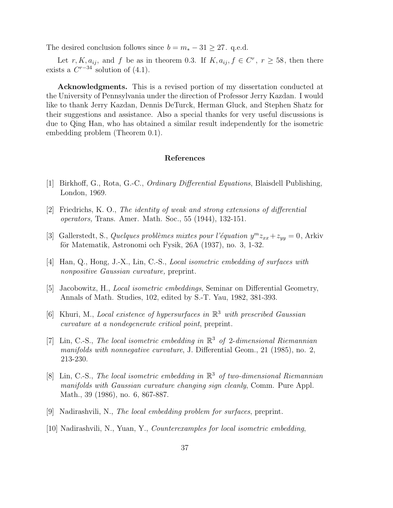The desired conclusion follows since  $b = m_* - 31 \geq 27$ . q.e.d.

Let r, K,  $a_{ij}$ , and f be as in theorem 0.3. If  $K$ ,  $a_{ij}$ ,  $f \in C^r$ ,  $r \ge 58$ , then there exists a  $C^{r-34}$  solution of  $(4.1)$ .

Acknowledgments. This is a revised portion of my dissertation conducted at the University of Pennsylvania under the direction of Professor Jerry Kazdan. I would like to thank Jerry Kazdan, Dennis DeTurck, Herman Gluck, and Stephen Shatz for their suggestions and assistance. Also a special thanks for very useful discussions is due to Qing Han, who has obtained a similar result independently for the isometric embedding problem (Theorem 0.1).

## References

- [1] Birkhoff, G., Rota, G.-C., Ordinary Differential Equations, Blaisdell Publishing, London, 1969.
- [2] Friedrichs, K. O., The identity of weak and strong extensions of differential operators, Trans. Amer. Math. Soc., 55 (1944), 132-151.
- [3] Gallerstedt, S., Quelques problèmes mixtes pour l'équation  $y^m z_{xx} + z_{yy} = 0$ , Arkiv för Matematik, Astronomi och Fysik,  $26A(1937)$ , no. 3, 1-32.
- [4] Han, Q., Hong, J.-X., Lin, C.-S., Local isometric embedding of surfaces with nonpositive Gaussian curvature, preprint.
- [5] Jacobowitz, H., Local isometric embeddings, Seminar on Differential Geometry, Annals of Math. Studies, 102, edited by S.-T. Yau, 1982, 381-393.
- [6] Khuri, M., Local existence of hypersurfaces in  $\mathbb{R}^3$  with prescribed Gaussian curvature at a nondegenerate critical point, preprint.
- [7] Lin, C.-S., The local isometric embedding in  $\mathbb{R}^3$  of 2-dimensional Riemannian manifolds with nonnegative curvature, J. Differential Geom., 21 (1985), no. 2, 213-230.
- [8] Lin, C.-S., The local isometric embedding in  $\mathbb{R}^3$  of two-dimensional Riemannian manifolds with Gaussian curvature changing sign cleanly, Comm. Pure Appl. Math., 39 (1986), no. 6, 867-887.
- [9] Nadirashvili, N., The local embedding problem for surfaces, preprint.
- [10] Nadirashvili, N., Yuan, Y., Counterexamples for local isometric embedding,